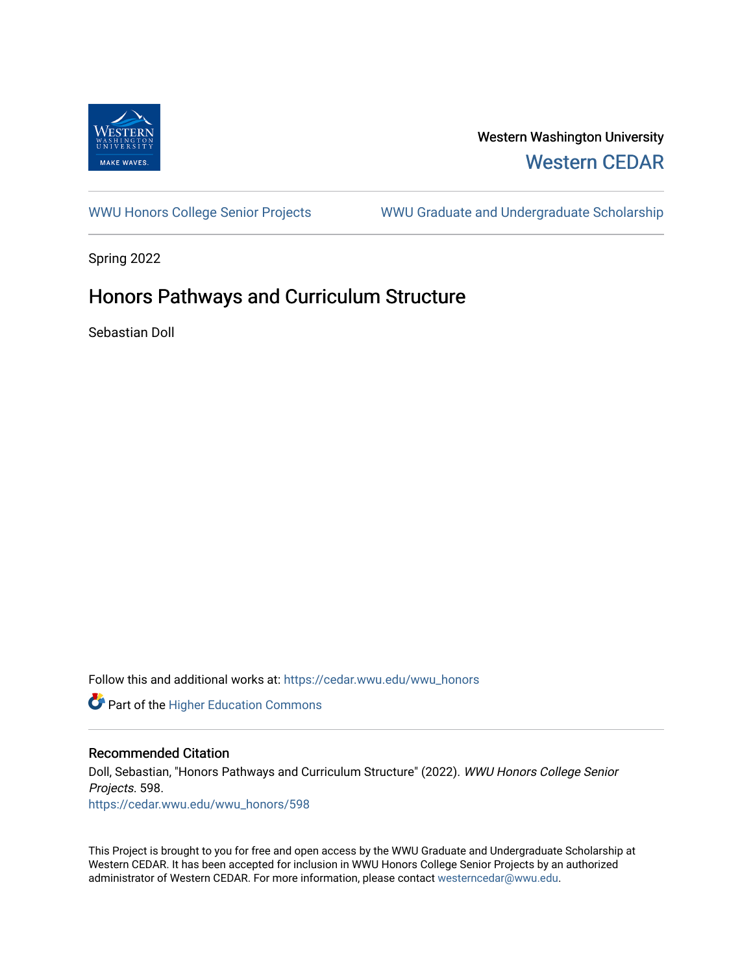

# Western Washington University [Western CEDAR](https://cedar.wwu.edu/)

[WWU Honors College Senior Projects](https://cedar.wwu.edu/wwu_honors) WWU Graduate and Undergraduate Scholarship

Spring 2022

# Honors Pathways and Curriculum Structure

Sebastian Doll

Follow this and additional works at: [https://cedar.wwu.edu/wwu\\_honors](https://cedar.wwu.edu/wwu_honors?utm_source=cedar.wwu.edu%2Fwwu_honors%2F598&utm_medium=PDF&utm_campaign=PDFCoverPages) 

**Part of the Higher Education Commons** 

# Recommended Citation

Doll, Sebastian, "Honors Pathways and Curriculum Structure" (2022). WWU Honors College Senior Projects. 598. [https://cedar.wwu.edu/wwu\\_honors/598](https://cedar.wwu.edu/wwu_honors/598?utm_source=cedar.wwu.edu%2Fwwu_honors%2F598&utm_medium=PDF&utm_campaign=PDFCoverPages)

This Project is brought to you for free and open access by the WWU Graduate and Undergraduate Scholarship at Western CEDAR. It has been accepted for inclusion in WWU Honors College Senior Projects by an authorized administrator of Western CEDAR. For more information, please contact [westerncedar@wwu.edu](mailto:westerncedar@wwu.edu).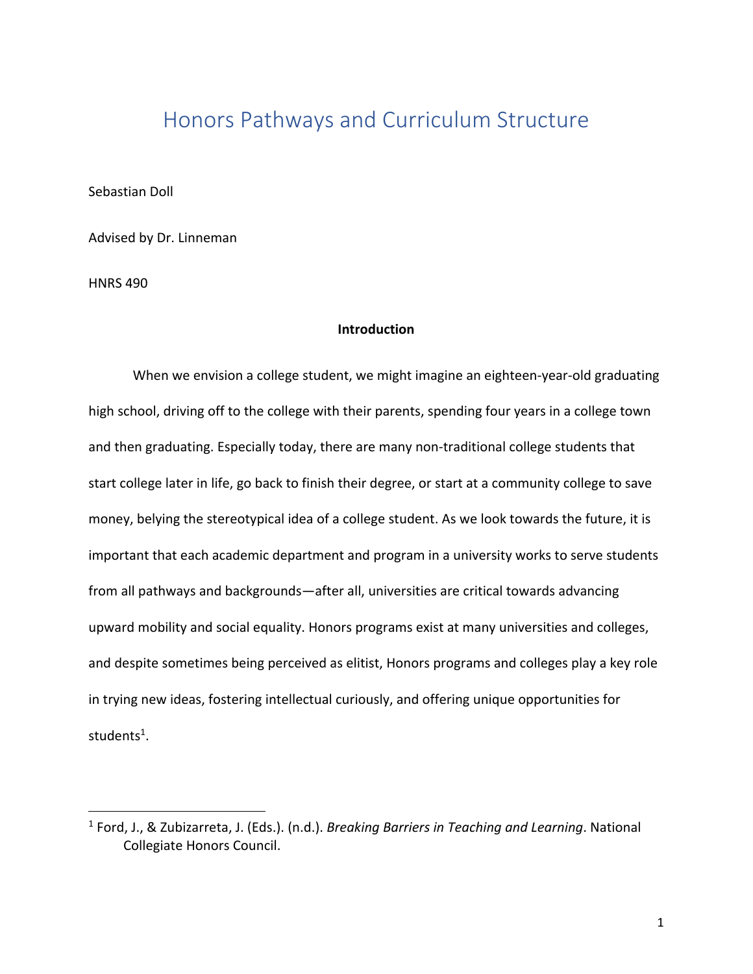# Honors Pathways and Curriculum Structure

Sebastian Doll

Advised by Dr. Linneman

HNRS 490

# **Introduction**

When we envision a college student, we might imagine an eighteen-year-old graduating high school, driving off to the college with their parents, spending four years in a college town and then graduating. Especially today, there are many non-traditional college students that start college later in life, go back to finish their degree, or start at a community college to save money, belying the stereotypical idea of a college student. As we look towards the future, it is important that each academic department and program in a university works to serve students from all pathways and backgrounds—after all, universities are critical towards advancing upward mobility and social equality. Honors programs exist at many universities and colleges, and despite sometimes being perceived as elitist, Honors programs and colleges play a key role in trying new ideas, fostering intellectual curiously, and offering unique opportunities for students<sup>1</sup>.

<sup>1</sup> Ford, J., & Zubizarreta, J. (Eds.). (n.d.). *Breaking Barriers in Teaching and Learning*. National Collegiate Honors Council.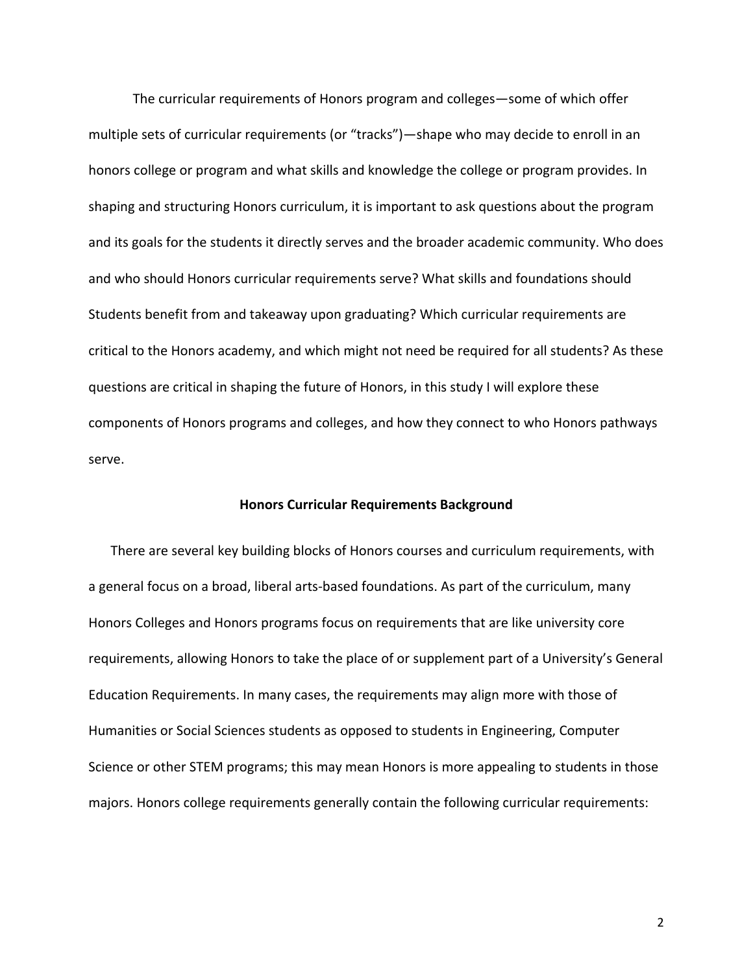The curricular requirements of Honors program and colleges—some of which offer multiple sets of curricular requirements (or "tracks")—shape who may decide to enroll in an honors college or program and what skills and knowledge the college or program provides. In shaping and structuring Honors curriculum, it is important to ask questions about the program and its goals for the students it directly serves and the broader academic community. Who does and who should Honors curricular requirements serve? What skills and foundations should Students benefit from and takeaway upon graduating? Which curricular requirements are critical to the Honors academy, and which might not need be required for all students? As these questions are critical in shaping the future of Honors, in this study I will explore these components of Honors programs and colleges, and how they connect to who Honors pathways serve.

# **Honors Curricular Requirements Background**

There are several key building blocks of Honors courses and curriculum requirements, with a general focus on a broad, liberal arts-based foundations. As part of the curriculum, many Honors Colleges and Honors programs focus on requirements that are like university core requirements, allowing Honors to take the place of or supplement part of a University's General Education Requirements. In many cases, the requirements may align more with those of Humanities or Social Sciences students as opposed to students in Engineering, Computer Science or other STEM programs; this may mean Honors is more appealing to students in those majors. Honors college requirements generally contain the following curricular requirements: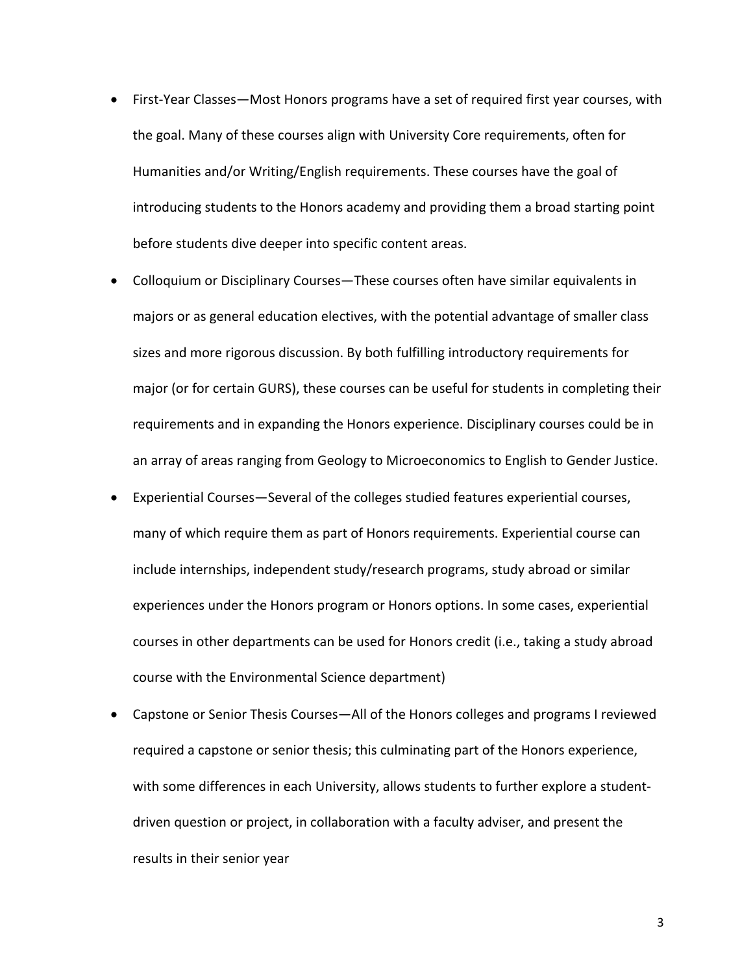- First-Year Classes—Most Honors programs have a set of required first year courses, with the goal. Many of these courses align with University Core requirements, often for Humanities and/or Writing/English requirements. These courses have the goal of introducing students to the Honors academy and providing them a broad starting point before students dive deeper into specific content areas.
- Colloquium or Disciplinary Courses—These courses often have similar equivalents in majors or as general education electives, with the potential advantage of smaller class sizes and more rigorous discussion. By both fulfilling introductory requirements for major (or for certain GURS), these courses can be useful for students in completing their requirements and in expanding the Honors experience. Disciplinary courses could be in an array of areas ranging from Geology to Microeconomics to English to Gender Justice.
- Experiential Courses—Several of the colleges studied features experiential courses, many of which require them as part of Honors requirements. Experiential course can include internships, independent study/research programs, study abroad or similar experiences under the Honors program or Honors options. In some cases, experiential courses in other departments can be used for Honors credit (i.e., taking a study abroad course with the Environmental Science department)
- Capstone or Senior Thesis Courses—All of the Honors colleges and programs I reviewed required a capstone or senior thesis; this culminating part of the Honors experience, with some differences in each University, allows students to further explore a studentdriven question or project, in collaboration with a faculty adviser, and present the results in their senior year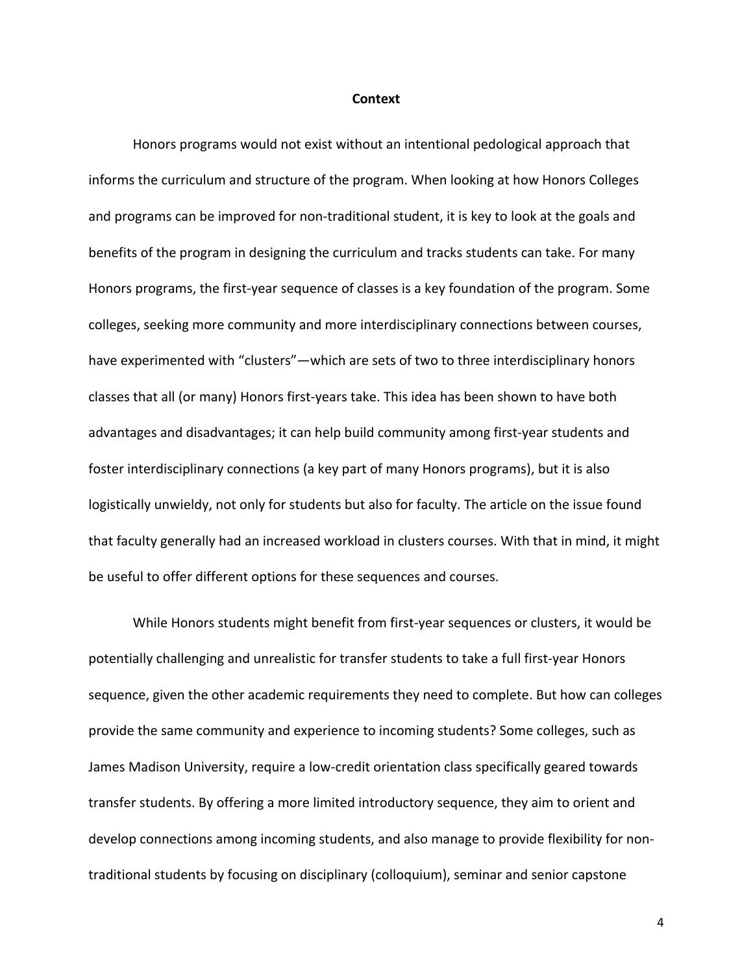#### **Context**

Honors programs would not exist without an intentional pedological approach that informs the curriculum and structure of the program. When looking at how Honors Colleges and programs can be improved for non-traditional student, it is key to look at the goals and benefits of the program in designing the curriculum and tracks students can take. For many Honors programs, the first-year sequence of classes is a key foundation of the program. Some colleges, seeking more community and more interdisciplinary connections between courses, have experimented with "clusters"—which are sets of two to three interdisciplinary honors classes that all (or many) Honors first-years take. This idea has been shown to have both advantages and disadvantages; it can help build community among first-year students and foster interdisciplinary connections (a key part of many Honors programs), but it is also logistically unwieldy, not only for students but also for faculty. The article on the issue found that faculty generally had an increased workload in clusters courses. With that in mind, it might be useful to offer different options for these sequences and courses.

While Honors students might benefit from first-year sequences or clusters, it would be potentially challenging and unrealistic for transfer students to take a full first-year Honors sequence, given the other academic requirements they need to complete. But how can colleges provide the same community and experience to incoming students? Some colleges, such as James Madison University, require a low-credit orientation class specifically geared towards transfer students. By offering a more limited introductory sequence, they aim to orient and develop connections among incoming students, and also manage to provide flexibility for nontraditional students by focusing on disciplinary (colloquium), seminar and senior capstone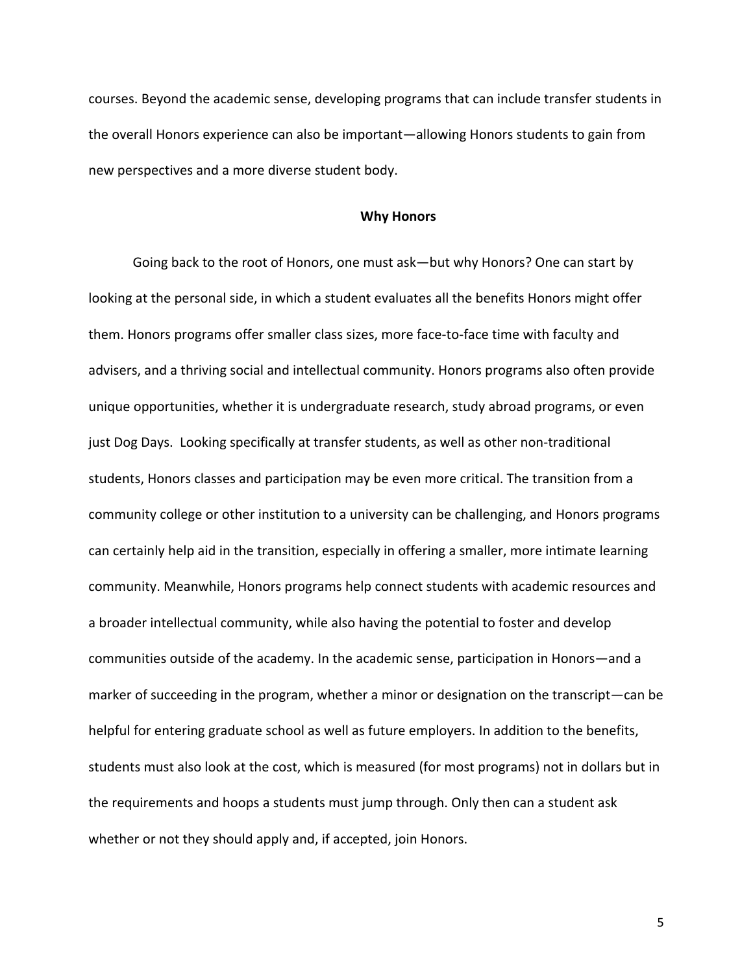courses. Beyond the academic sense, developing programs that can include transfer students in the overall Honors experience can also be important—allowing Honors students to gain from new perspectives and a more diverse student body.

#### **Why Honors**

Going back to the root of Honors, one must ask—but why Honors? One can start by looking at the personal side, in which a student evaluates all the benefits Honors might offer them. Honors programs offer smaller class sizes, more face-to-face time with faculty and advisers, and a thriving social and intellectual community. Honors programs also often provide unique opportunities, whether it is undergraduate research, study abroad programs, or even just Dog Days. Looking specifically at transfer students, as well as other non-traditional students, Honors classes and participation may be even more critical. The transition from a community college or other institution to a university can be challenging, and Honors programs can certainly help aid in the transition, especially in offering a smaller, more intimate learning community. Meanwhile, Honors programs help connect students with academic resources and a broader intellectual community, while also having the potential to foster and develop communities outside of the academy. In the academic sense, participation in Honors—and a marker of succeeding in the program, whether a minor or designation on the transcript—can be helpful for entering graduate school as well as future employers. In addition to the benefits, students must also look at the cost, which is measured (for most programs) not in dollars but in the requirements and hoops a students must jump through. Only then can a student ask whether or not they should apply and, if accepted, join Honors.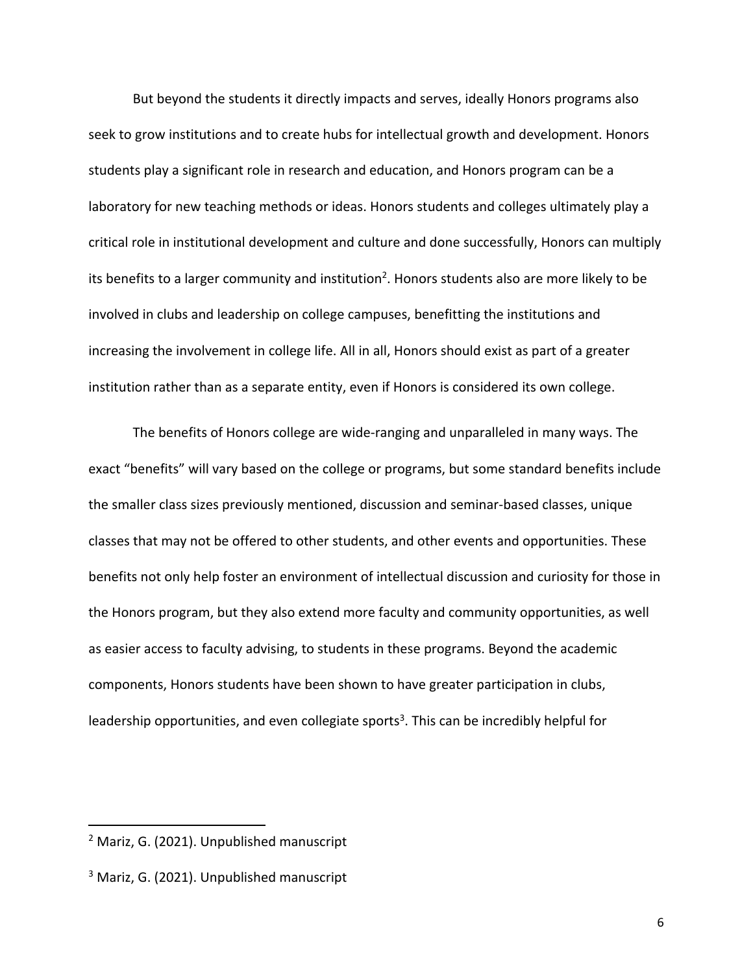But beyond the students it directly impacts and serves, ideally Honors programs also seek to grow institutions and to create hubs for intellectual growth and development. Honors students play a significant role in research and education, and Honors program can be a laboratory for new teaching methods or ideas. Honors students and colleges ultimately play a critical role in institutional development and culture and done successfully, Honors can multiply its benefits to a larger community and institution<sup>2</sup>. Honors students also are more likely to be involved in clubs and leadership on college campuses, benefitting the institutions and increasing the involvement in college life. All in all, Honors should exist as part of a greater institution rather than as a separate entity, even if Honors is considered its own college.

The benefits of Honors college are wide-ranging and unparalleled in many ways. The exact "benefits" will vary based on the college or programs, but some standard benefits include the smaller class sizes previously mentioned, discussion and seminar-based classes, unique classes that may not be offered to other students, and other events and opportunities. These benefits not only help foster an environment of intellectual discussion and curiosity for those in the Honors program, but they also extend more faculty and community opportunities, as well as easier access to faculty advising, to students in these programs. Beyond the academic components, Honors students have been shown to have greater participation in clubs, leadership opportunities, and even collegiate sports<sup>3</sup>. This can be incredibly helpful for

<sup>2</sup> Mariz, G. (2021). Unpublished manuscript

<sup>&</sup>lt;sup>3</sup> Mariz, G. (2021). Unpublished manuscript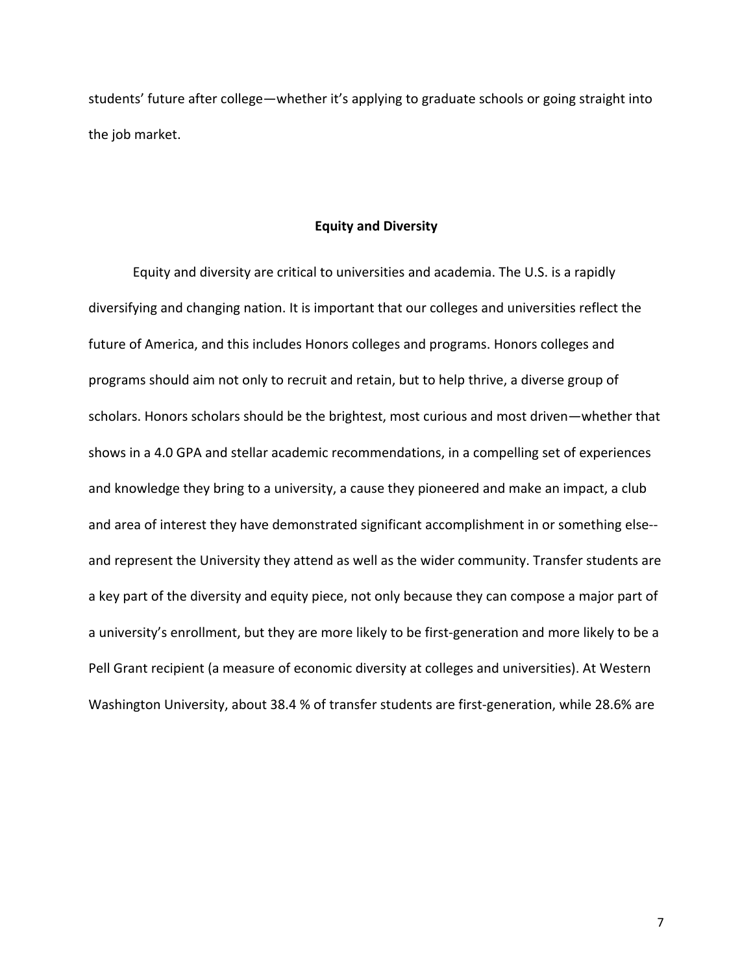students' future after college—whether it's applying to graduate schools or going straight into the job market.

# **Equity and Diversity**

Equity and diversity are critical to universities and academia. The U.S. is a rapidly diversifying and changing nation. It is important that our colleges and universities reflect the future of America, and this includes Honors colleges and programs. Honors colleges and programs should aim not only to recruit and retain, but to help thrive, a diverse group of scholars. Honors scholars should be the brightest, most curious and most driven—whether that shows in a 4.0 GPA and stellar academic recommendations, in a compelling set of experiences and knowledge they bring to a university, a cause they pioneered and make an impact, a club and area of interest they have demonstrated significant accomplishment in or something else- and represent the University they attend as well as the wider community. Transfer students are a key part of the diversity and equity piece, not only because they can compose a major part of a university's enrollment, but they are more likely to be first-generation and more likely to be a Pell Grant recipient (a measure of economic diversity at colleges and universities). At Western Washington University, about 38.4 % of transfer students are first-generation, while 28.6% are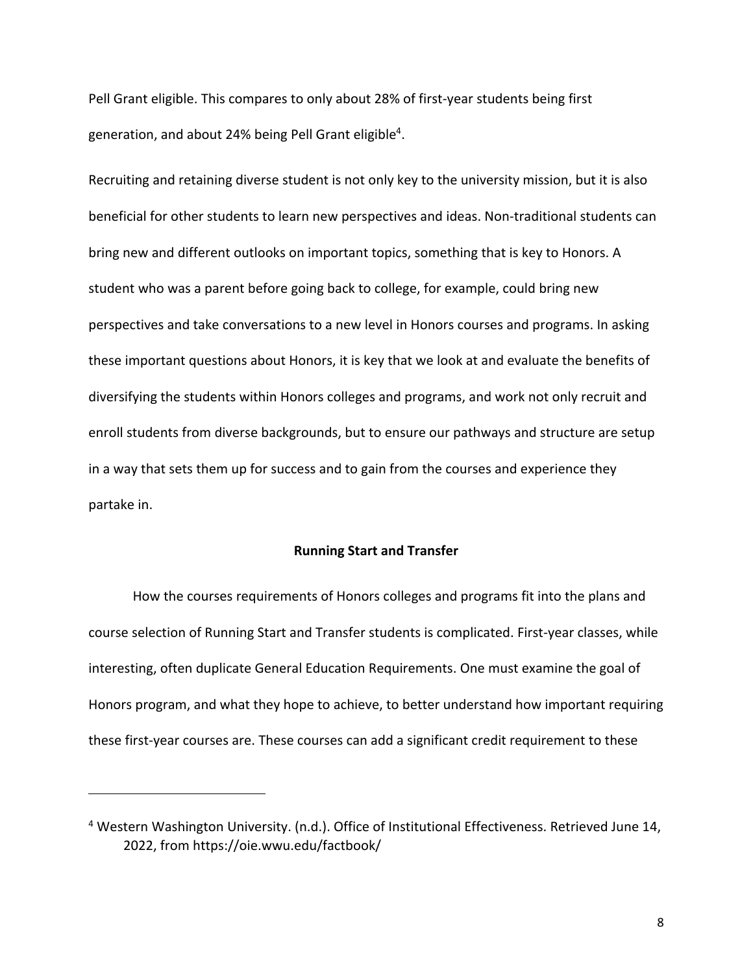Pell Grant eligible. This compares to only about 28% of first-year students being first generation, and about 24% being Pell Grant eligible<sup>4</sup>.

Recruiting and retaining diverse student is not only key to the university mission, but it is also beneficial for other students to learn new perspectives and ideas. Non-traditional students can bring new and different outlooks on important topics, something that is key to Honors. A student who was a parent before going back to college, for example, could bring new perspectives and take conversations to a new level in Honors courses and programs. In asking these important questions about Honors, it is key that we look at and evaluate the benefits of diversifying the students within Honors colleges and programs, and work not only recruit and enroll students from diverse backgrounds, but to ensure our pathways and structure are setup in a way that sets them up for success and to gain from the courses and experience they partake in.

# **Running Start and Transfer**

How the courses requirements of Honors colleges and programs fit into the plans and course selection of Running Start and Transfer students is complicated. First-year classes, while interesting, often duplicate General Education Requirements. One must examine the goal of Honors program, and what they hope to achieve, to better understand how important requiring these first-year courses are. These courses can add a significant credit requirement to these

<sup>4</sup> Western Washington University. (n.d.). Office of Institutional Effectiveness. Retrieved June 14, 2022, from https://oie.wwu.edu/factbook/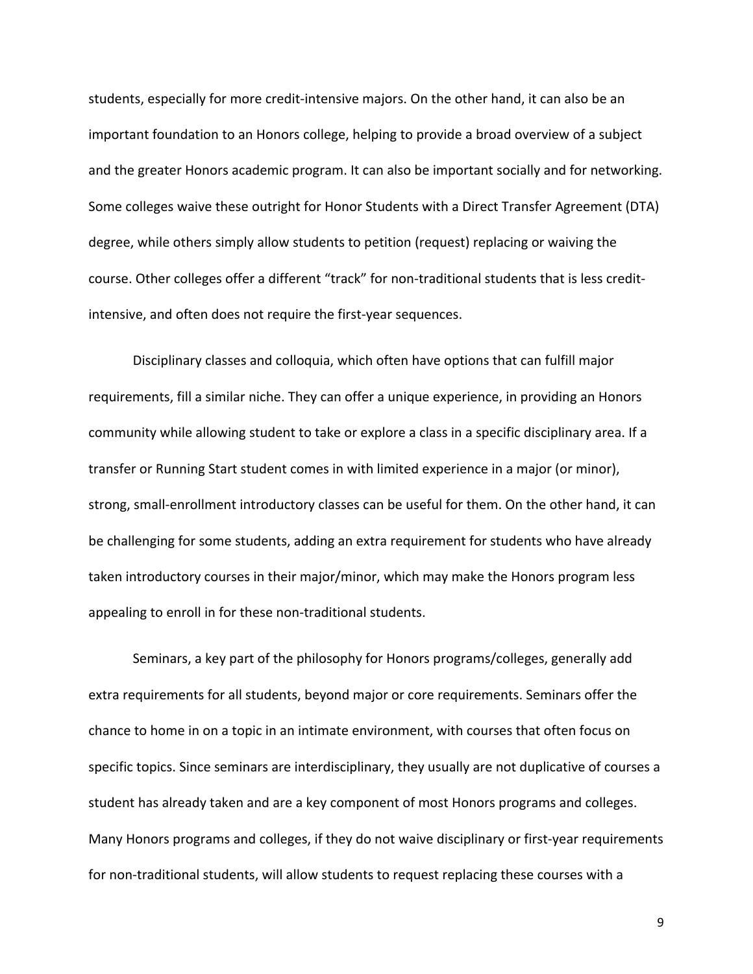students, especially for more credit-intensive majors. On the other hand, it can also be an important foundation to an Honors college, helping to provide a broad overview of a subject and the greater Honors academic program. It can also be important socially and for networking. Some colleges waive these outright for Honor Students with a Direct Transfer Agreement (DTA) degree, while others simply allow students to petition (request) replacing or waiving the course. Other colleges offer a different "track" for non-traditional students that is less creditintensive, and often does not require the first-year sequences.

Disciplinary classes and colloquia, which often have options that can fulfill major requirements, fill a similar niche. They can offer a unique experience, in providing an Honors community while allowing student to take or explore a class in a specific disciplinary area. If a transfer or Running Start student comes in with limited experience in a major (or minor), strong, small-enrollment introductory classes can be useful for them. On the other hand, it can be challenging for some students, adding an extra requirement for students who have already taken introductory courses in their major/minor, which may make the Honors program less appealing to enroll in for these non-traditional students.

Seminars, a key part of the philosophy for Honors programs/colleges, generally add extra requirements for all students, beyond major or core requirements. Seminars offer the chance to home in on a topic in an intimate environment, with courses that often focus on specific topics. Since seminars are interdisciplinary, they usually are not duplicative of courses a student has already taken and are a key component of most Honors programs and colleges. Many Honors programs and colleges, if they do not waive disciplinary or first-year requirements for non-traditional students, will allow students to request replacing these courses with a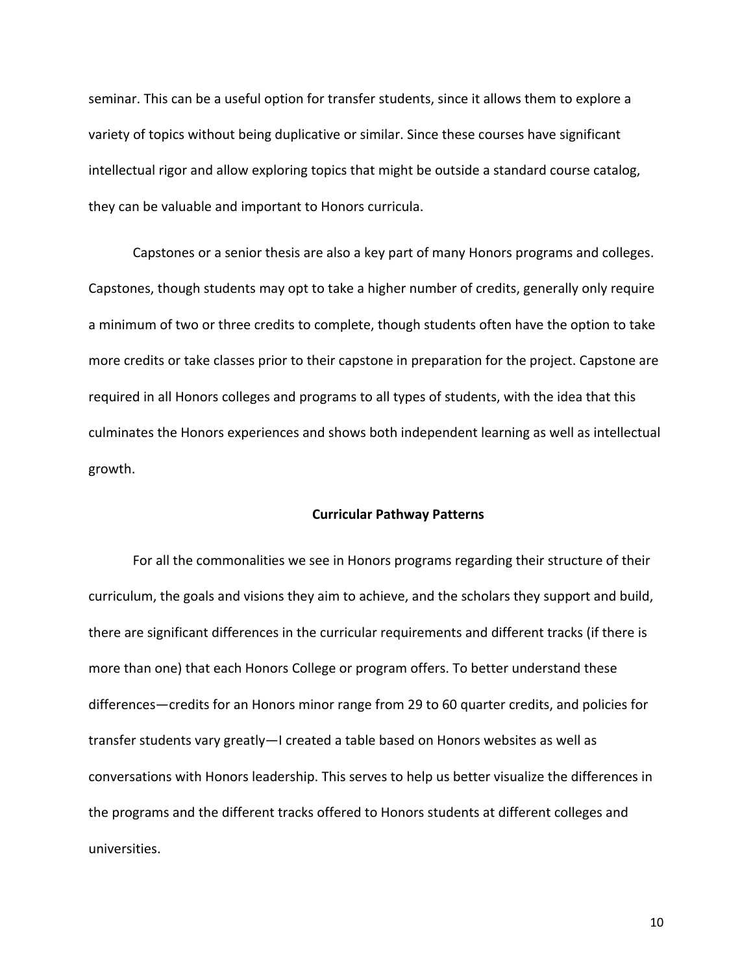seminar. This can be a useful option for transfer students, since it allows them to explore a variety of topics without being duplicative or similar. Since these courses have significant intellectual rigor and allow exploring topics that might be outside a standard course catalog, they can be valuable and important to Honors curricula.

Capstones or a senior thesis are also a key part of many Honors programs and colleges. Capstones, though students may opt to take a higher number of credits, generally only require a minimum of two or three credits to complete, though students often have the option to take more credits or take classes prior to their capstone in preparation for the project. Capstone are required in all Honors colleges and programs to all types of students, with the idea that this culminates the Honors experiences and shows both independent learning as well as intellectual growth.

# **Curricular Pathway Patterns**

For all the commonalities we see in Honors programs regarding their structure of their curriculum, the goals and visions they aim to achieve, and the scholars they support and build, there are significant differences in the curricular requirements and different tracks (if there is more than one) that each Honors College or program offers. To better understand these differences—credits for an Honors minor range from 29 to 60 quarter credits, and policies for transfer students vary greatly—I created a table based on Honors websites as well as conversations with Honors leadership. This serves to help us better visualize the differences in the programs and the different tracks offered to Honors students at different colleges and universities.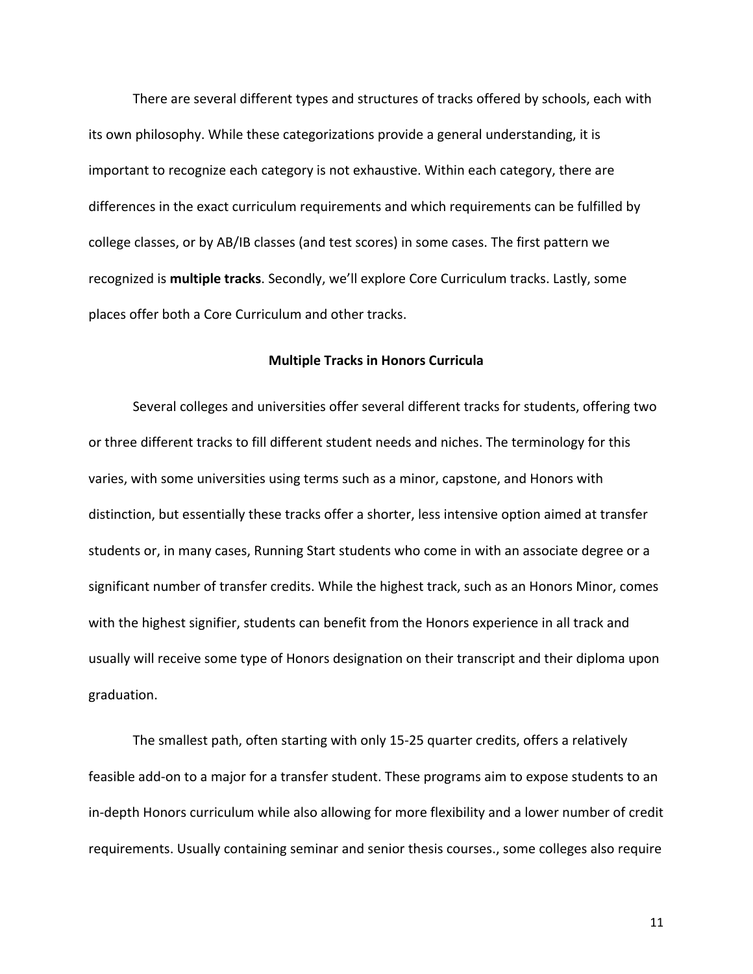There are several different types and structures of tracks offered by schools, each with its own philosophy. While these categorizations provide a general understanding, it is important to recognize each category is not exhaustive. Within each category, there are differences in the exact curriculum requirements and which requirements can be fulfilled by college classes, or by AB/IB classes (and test scores) in some cases. The first pattern we recognized is **multiple tracks**. Secondly, we'll explore Core Curriculum tracks. Lastly, some places offer both a Core Curriculum and other tracks.

# **Multiple Tracks in Honors Curricula**

Several colleges and universities offer several different tracks for students, offering two or three different tracks to fill different student needs and niches. The terminology for this varies, with some universities using terms such as a minor, capstone, and Honors with distinction, but essentially these tracks offer a shorter, less intensive option aimed at transfer students or, in many cases, Running Start students who come in with an associate degree or a significant number of transfer credits. While the highest track, such as an Honors Minor, comes with the highest signifier, students can benefit from the Honors experience in all track and usually will receive some type of Honors designation on their transcript and their diploma upon graduation.

The smallest path, often starting with only 15-25 quarter credits, offers a relatively feasible add-on to a major for a transfer student. These programs aim to expose students to an in-depth Honors curriculum while also allowing for more flexibility and a lower number of credit requirements. Usually containing seminar and senior thesis courses., some colleges also require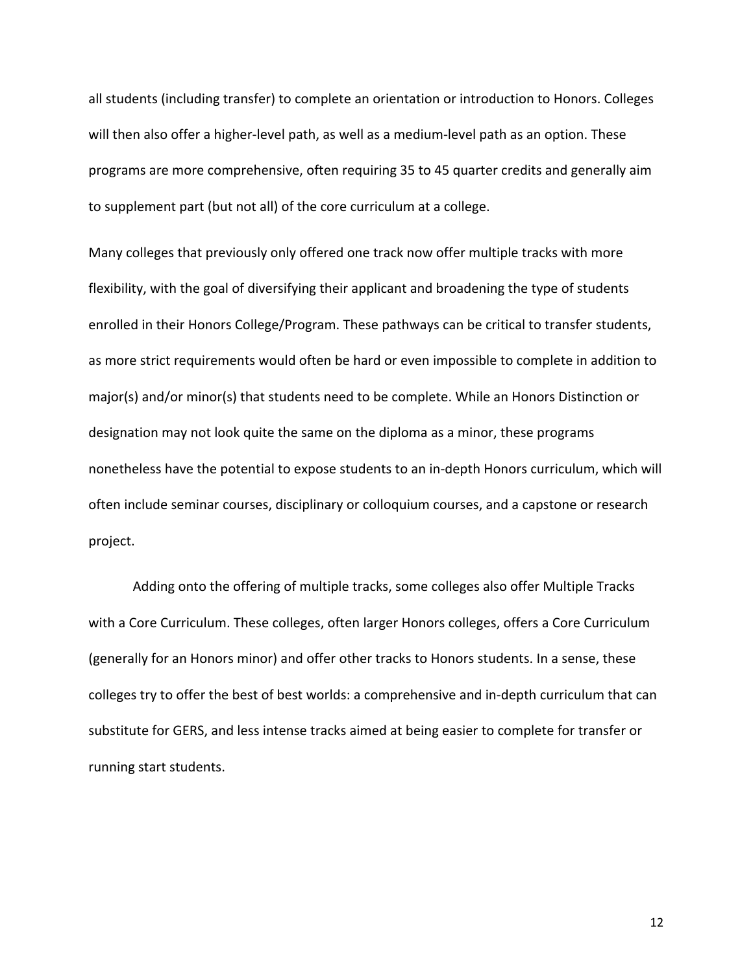all students (including transfer) to complete an orientation or introduction to Honors. Colleges will then also offer a higher-level path, as well as a medium-level path as an option. These programs are more comprehensive, often requiring 35 to 45 quarter credits and generally aim to supplement part (but not all) of the core curriculum at a college.

Many colleges that previously only offered one track now offer multiple tracks with more flexibility, with the goal of diversifying their applicant and broadening the type of students enrolled in their Honors College/Program. These pathways can be critical to transfer students, as more strict requirements would often be hard or even impossible to complete in addition to major(s) and/or minor(s) that students need to be complete. While an Honors Distinction or designation may not look quite the same on the diploma as a minor, these programs nonetheless have the potential to expose students to an in-depth Honors curriculum, which will often include seminar courses, disciplinary or colloquium courses, and a capstone or research project.

Adding onto the offering of multiple tracks, some colleges also offer Multiple Tracks with a Core Curriculum. These colleges, often larger Honors colleges, offers a Core Curriculum (generally for an Honors minor) and offer other tracks to Honors students. In a sense, these colleges try to offer the best of best worlds: a comprehensive and in-depth curriculum that can substitute for GERS, and less intense tracks aimed at being easier to complete for transfer or running start students.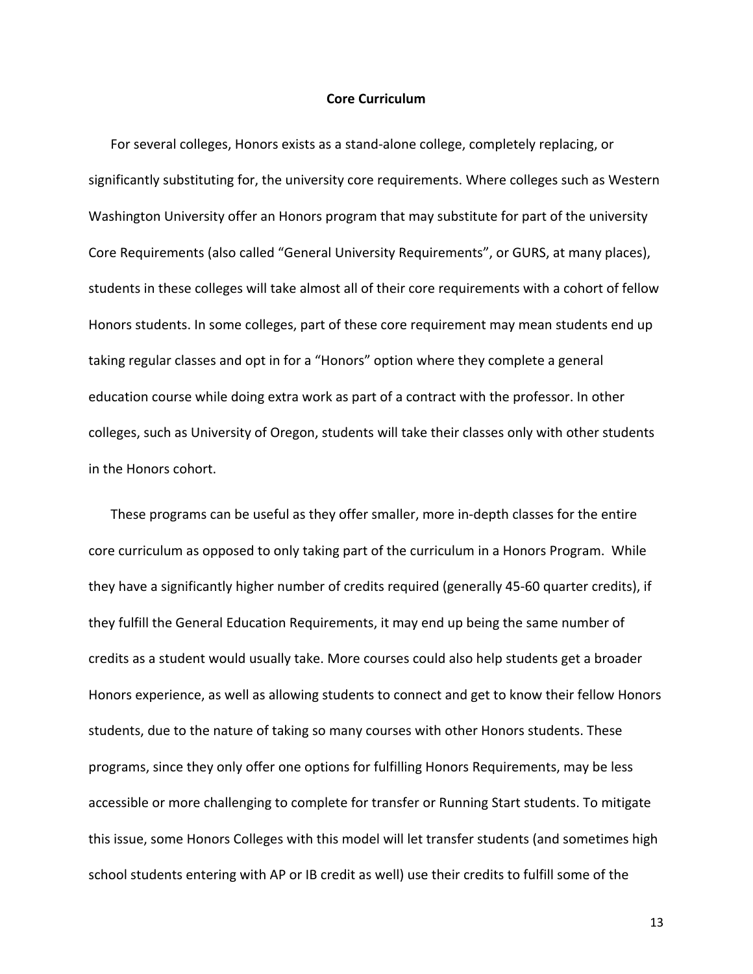# **Core Curriculum**

For several colleges, Honors exists as a stand-alone college, completely replacing, or significantly substituting for, the university core requirements. Where colleges such as Western Washington University offer an Honors program that may substitute for part of the university Core Requirements (also called "General University Requirements", or GURS, at many places), students in these colleges will take almost all of their core requirements with a cohort of fellow Honors students. In some colleges, part of these core requirement may mean students end up taking regular classes and opt in for a "Honors" option where they complete a general education course while doing extra work as part of a contract with the professor. In other colleges, such as University of Oregon, students will take their classes only with other students in the Honors cohort.

These programs can be useful as they offer smaller, more in-depth classes for the entire core curriculum as opposed to only taking part of the curriculum in a Honors Program. While they have a significantly higher number of credits required (generally 45-60 quarter credits), if they fulfill the General Education Requirements, it may end up being the same number of credits as a student would usually take. More courses could also help students get a broader Honors experience, as well as allowing students to connect and get to know their fellow Honors students, due to the nature of taking so many courses with other Honors students. These programs, since they only offer one options for fulfilling Honors Requirements, may be less accessible or more challenging to complete for transfer or Running Start students. To mitigate this issue, some Honors Colleges with this model will let transfer students (and sometimes high school students entering with AP or IB credit as well) use their credits to fulfill some of the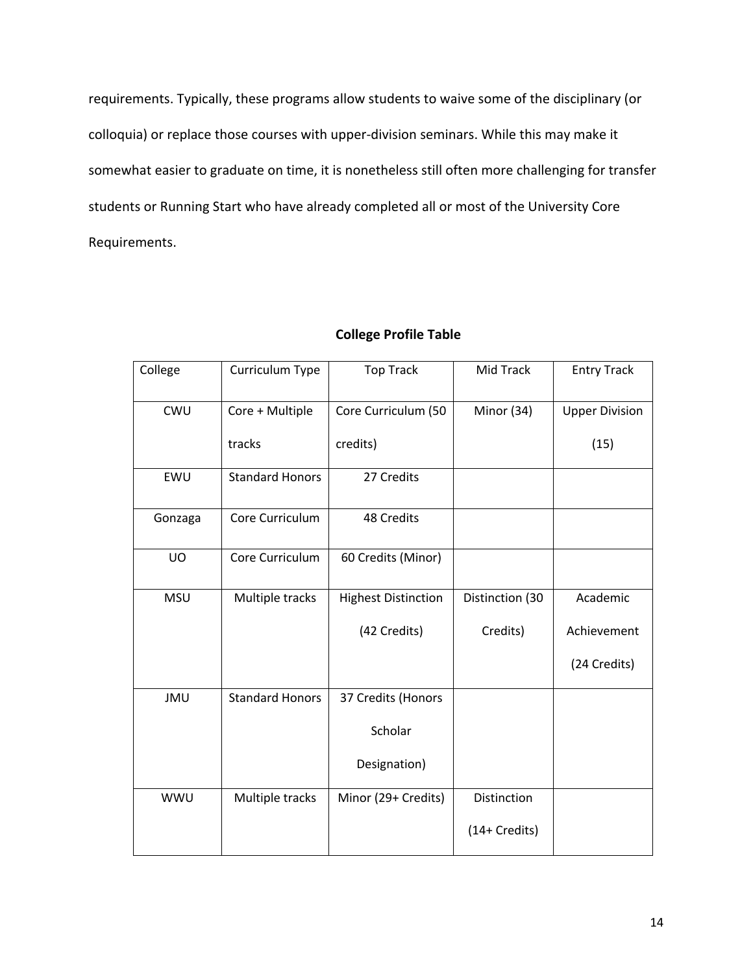requirements. Typically, these programs allow students to waive some of the disciplinary (or colloquia) or replace those courses with upper-division seminars. While this may make it somewhat easier to graduate on time, it is nonetheless still often more challenging for transfer students or Running Start who have already completed all or most of the University Core Requirements.

| College    | Curriculum Type        | <b>Top Track</b>           | Mid Track       | <b>Entry Track</b>    |
|------------|------------------------|----------------------------|-----------------|-----------------------|
| CWU        | Core + Multiple        | Core Curriculum (50        | Minor (34)      | <b>Upper Division</b> |
|            | tracks                 | credits)                   |                 | (15)                  |
| EWU        | <b>Standard Honors</b> | 27 Credits                 |                 |                       |
| Gonzaga    | Core Curriculum        | 48 Credits                 |                 |                       |
| <b>UO</b>  | Core Curriculum        | 60 Credits (Minor)         |                 |                       |
| <b>MSU</b> | Multiple tracks        | <b>Highest Distinction</b> | Distinction (30 | Academic              |
|            |                        | (42 Credits)               | Credits)        | Achievement           |
|            |                        |                            |                 | (24 Credits)          |
| <b>JMU</b> | <b>Standard Honors</b> | 37 Credits (Honors         |                 |                       |
|            |                        | Scholar                    |                 |                       |
|            |                        | Designation)               |                 |                       |
| <b>WWU</b> | Multiple tracks        | Minor (29+ Credits)        | Distinction     |                       |
|            |                        |                            | (14+ Credits)   |                       |

# **College Profile Table**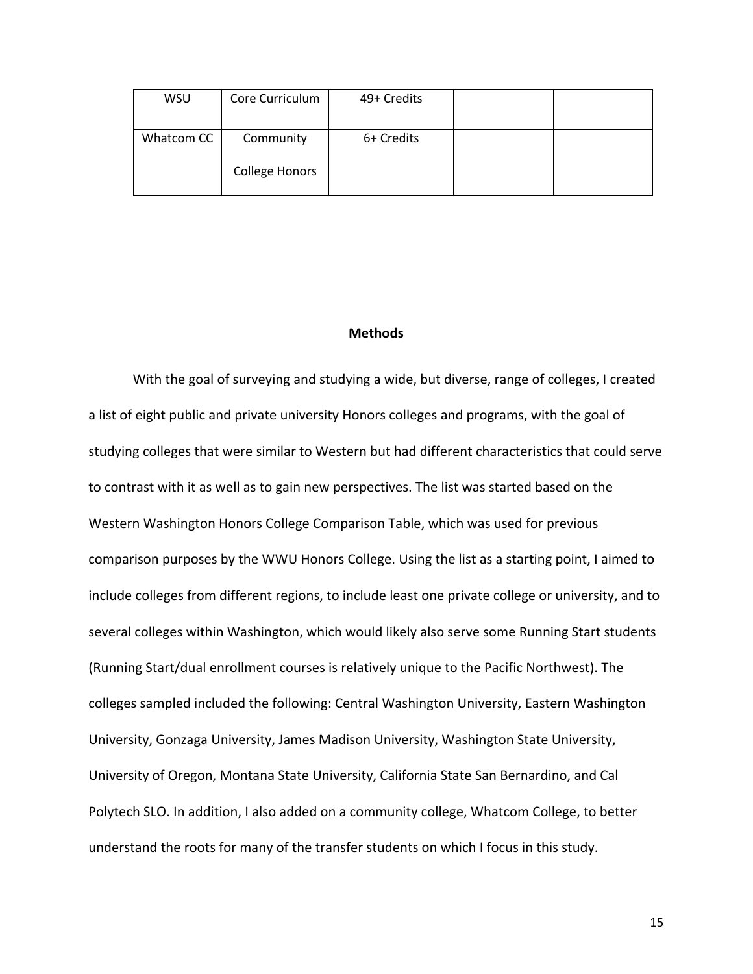| WSU        | Core Curriculum       | 49+ Credits |  |
|------------|-----------------------|-------------|--|
| Whatcom CC | Community             | 6+ Credits  |  |
|            | <b>College Honors</b> |             |  |

# **Methods**

With the goal of surveying and studying a wide, but diverse, range of colleges, I created a list of eight public and private university Honors colleges and programs, with the goal of studying colleges that were similar to Western but had different characteristics that could serve to contrast with it as well as to gain new perspectives. The list was started based on the Western Washington Honors College Comparison Table, which was used for previous comparison purposes by the WWU Honors College. Using the list as a starting point, I aimed to include colleges from different regions, to include least one private college or university, and to several colleges within Washington, which would likely also serve some Running Start students (Running Start/dual enrollment courses is relatively unique to the Pacific Northwest). The colleges sampled included the following: Central Washington University, Eastern Washington University, Gonzaga University, James Madison University, Washington State University, University of Oregon, Montana State University, California State San Bernardino, and Cal Polytech SLO. In addition, I also added on a community college, Whatcom College, to better understand the roots for many of the transfer students on which I focus in this study.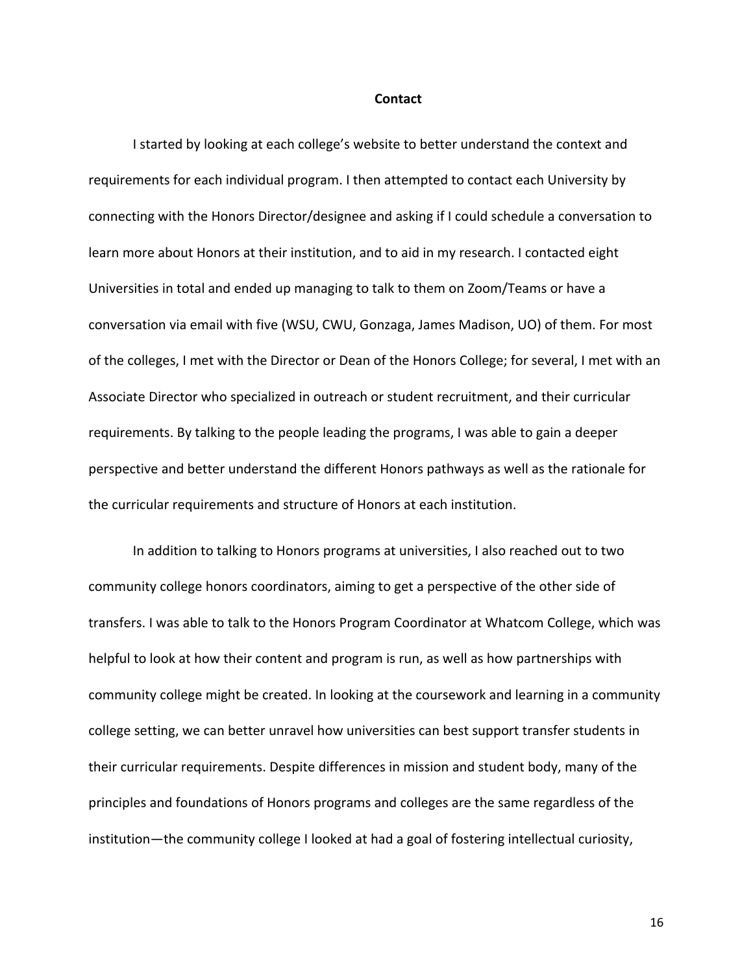#### **Contact**

I started by looking at each college's website to better understand the context and requirements for each individual program. I then attempted to contact each University by connecting with the Honors Director/designee and asking if I could schedule a conversation to learn more about Honors at their institution, and to aid in my research. I contacted eight Universities in total and ended up managing to talk to them on Zoom/Teams or have a conversation via email with five (WSU, CWU, Gonzaga, James Madison, UO) of them. For most of the colleges, I met with the Director or Dean of the Honors College; for several, I met with an Associate Director who specialized in outreach or student recruitment, and their curricular requirements. By talking to the people leading the programs, I was able to gain a deeper perspective and better understand the different Honors pathways as well as the rationale for the curricular requirements and structure of Honors at each institution.

In addition to talking to Honors programs at universities, I also reached out to two community college honors coordinators, aiming to get a perspective of the other side of transfers. I was able to talk to the Honors Program Coordinator at Whatcom College, which was helpful to look at how their content and program is run, as well as how partnerships with community college might be created. In looking at the coursework and learning in a community college setting, we can better unravel how universities can best support transfer students in their curricular requirements. Despite differences in mission and student body, many of the principles and foundations of Honors programs and colleges are the same regardless of the institution—the community college I looked at had a goal of fostering intellectual curiosity,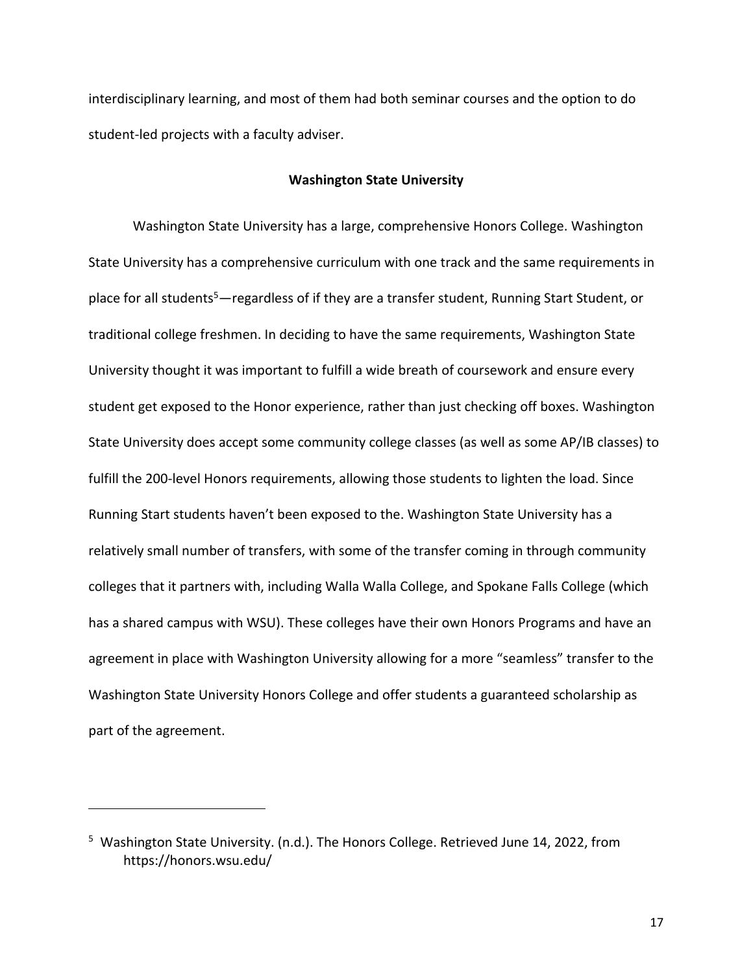interdisciplinary learning, and most of them had both seminar courses and the option to do student-led projects with a faculty adviser.

# **Washington State University**

Washington State University has a large, comprehensive Honors College. Washington State University has a comprehensive curriculum with one track and the same requirements in place for all students<sup>5</sup>—regardless of if they are a transfer student, Running Start Student, or traditional college freshmen. In deciding to have the same requirements, Washington State University thought it was important to fulfill a wide breath of coursework and ensure every student get exposed to the Honor experience, rather than just checking off boxes. Washington State University does accept some community college classes (as well as some AP/IB classes) to fulfill the 200-level Honors requirements, allowing those students to lighten the load. Since Running Start students haven't been exposed to the. Washington State University has a relatively small number of transfers, with some of the transfer coming in through community colleges that it partners with, including Walla Walla College, and Spokane Falls College (which has a shared campus with WSU). These colleges have their own Honors Programs and have an agreement in place with Washington University allowing for a more "seamless" transfer to the Washington State University Honors College and offer students a guaranteed scholarship as part of the agreement.

<sup>&</sup>lt;sup>5</sup> Washington State University. (n.d.). The Honors College. Retrieved June 14, 2022, from https://honors.wsu.edu/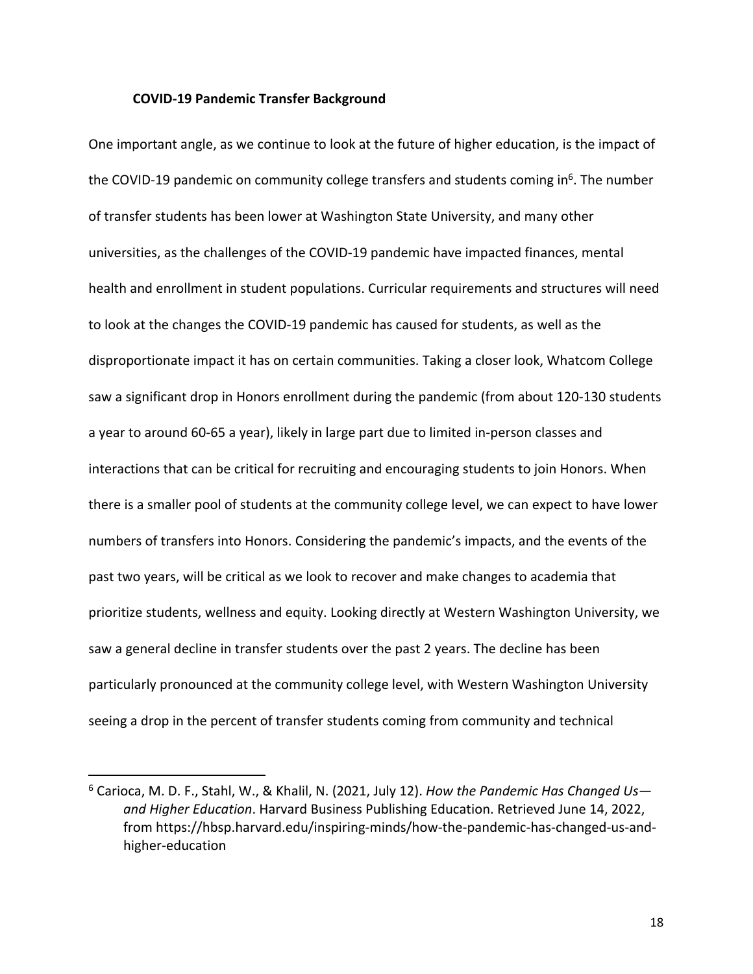# **COVID-19 Pandemic Transfer Background**

One important angle, as we continue to look at the future of higher education, is the impact of the COVID-19 pandemic on community college transfers and students coming in $<sup>6</sup>$ . The number</sup> of transfer students has been lower at Washington State University, and many other universities, as the challenges of the COVID-19 pandemic have impacted finances, mental health and enrollment in student populations. Curricular requirements and structures will need to look at the changes the COVID-19 pandemic has caused for students, as well as the disproportionate impact it has on certain communities. Taking a closer look, Whatcom College saw a significant drop in Honors enrollment during the pandemic (from about 120-130 students a year to around 60-65 a year), likely in large part due to limited in-person classes and interactions that can be critical for recruiting and encouraging students to join Honors. When there is a smaller pool of students at the community college level, we can expect to have lower numbers of transfers into Honors. Considering the pandemic's impacts, and the events of the past two years, will be critical as we look to recover and make changes to academia that prioritize students, wellness and equity. Looking directly at Western Washington University, we saw a general decline in transfer students over the past 2 years. The decline has been particularly pronounced at the community college level, with Western Washington University seeing a drop in the percent of transfer students coming from community and technical

<sup>6</sup> Carioca, M. D. F., Stahl, W., & Khalil, N. (2021, July 12). *How the Pandemic Has Changed Us and Higher Education*. Harvard Business Publishing Education. Retrieved June 14, 2022, from https://hbsp.harvard.edu/inspiring-minds/how-the-pandemic-has-changed-us-andhigher-education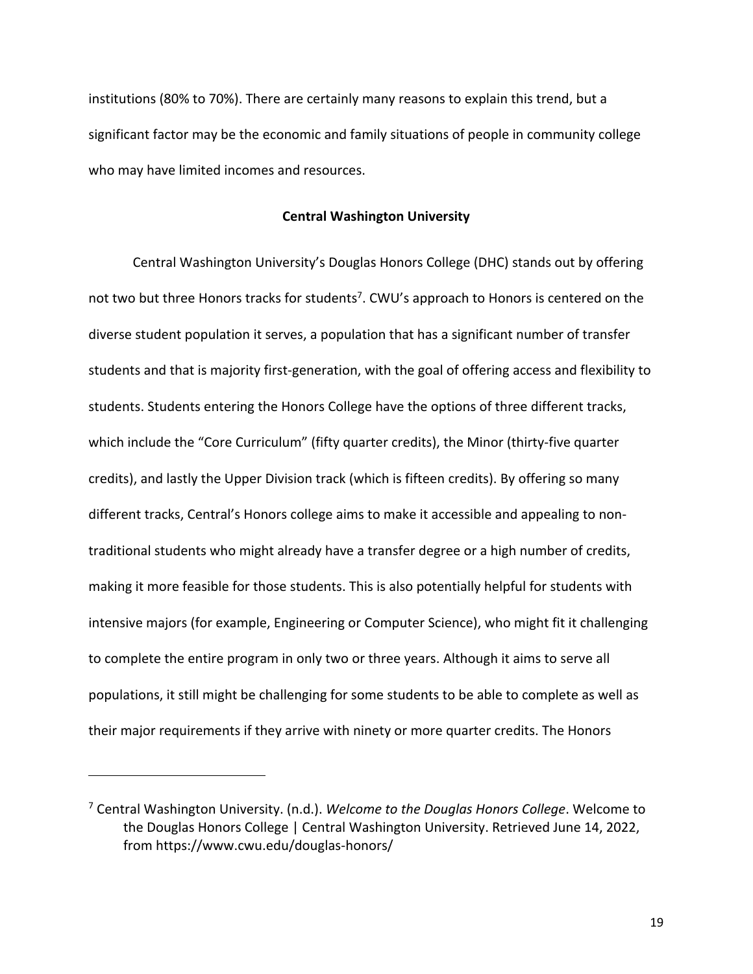institutions (80% to 70%). There are certainly many reasons to explain this trend, but a significant factor may be the economic and family situations of people in community college who may have limited incomes and resources.

# **Central Washington University**

Central Washington University's Douglas Honors College (DHC) stands out by offering not two but three Honors tracks for students<sup>7</sup>. CWU's approach to Honors is centered on the diverse student population it serves, a population that has a significant number of transfer students and that is majority first-generation, with the goal of offering access and flexibility to students. Students entering the Honors College have the options of three different tracks, which include the "Core Curriculum" (fifty quarter credits), the Minor (thirty-five quarter credits), and lastly the Upper Division track (which is fifteen credits). By offering so many different tracks, Central's Honors college aims to make it accessible and appealing to nontraditional students who might already have a transfer degree or a high number of credits, making it more feasible for those students. This is also potentially helpful for students with intensive majors (for example, Engineering or Computer Science), who might fit it challenging to complete the entire program in only two or three years. Although it aims to serve all populations, it still might be challenging for some students to be able to complete as well as their major requirements if they arrive with ninety or more quarter credits. The Honors

<sup>7</sup> Central Washington University. (n.d.). *Welcome to the Douglas Honors College*. Welcome to the Douglas Honors College | Central Washington University. Retrieved June 14, 2022, from https://www.cwu.edu/douglas-honors/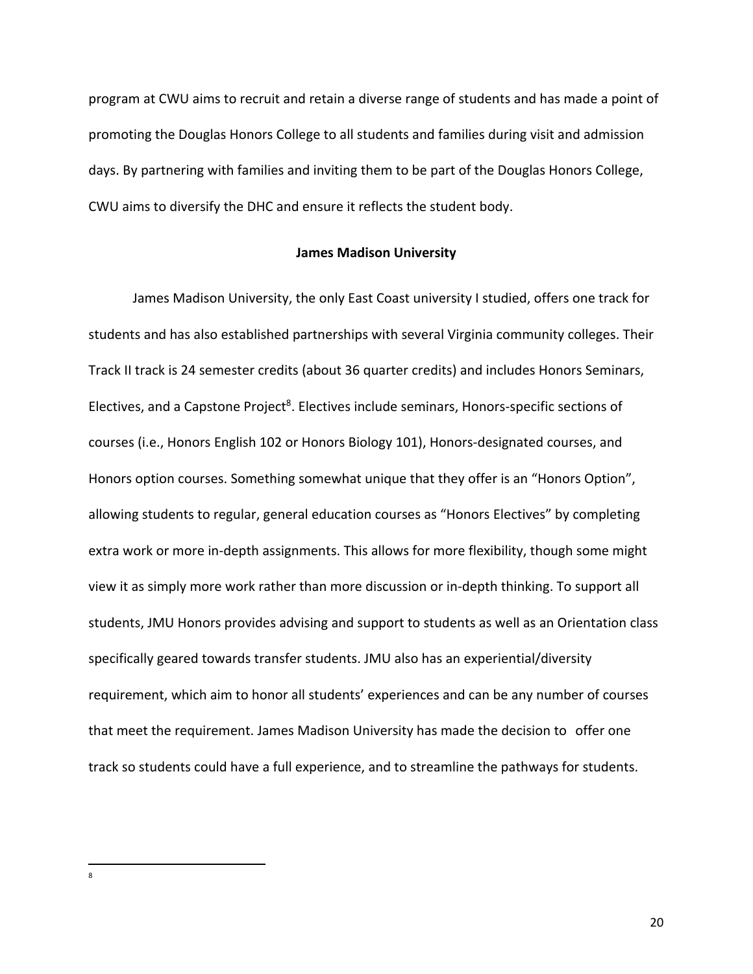program at CWU aims to recruit and retain a diverse range of students and has made a point of promoting the Douglas Honors College to all students and families during visit and admission days. By partnering with families and inviting them to be part of the Douglas Honors College, CWU aims to diversify the DHC and ensure it reflects the student body.

# **James Madison University**

James Madison University, the only East Coast university I studied, offers one track for students and has also established partnerships with several Virginia community colleges. Their Track II track is 24 semester credits (about 36 quarter credits) and includes Honors Seminars, Electives, and a Capstone Project<sup>8</sup>. Electives include seminars, Honors-specific sections of courses (i.e., Honors English 102 or Honors Biology 101), Honors-designated courses, and Honors option courses. Something somewhat unique that they offer is an "Honors Option", allowing students to regular, general education courses as "Honors Electives" by completing extra work or more in-depth assignments. This allows for more flexibility, though some might view it as simply more work rather than more discussion or in-depth thinking. To support all students, JMU Honors provides advising and support to students as well as an Orientation class specifically geared towards transfer students. JMU also has an experiential/diversity requirement, which aim to honor all students' experiences and can be any number of courses that meet the requirement. James Madison University has made the decision to offer one track so students could have a full experience, and to streamline the pathways for students.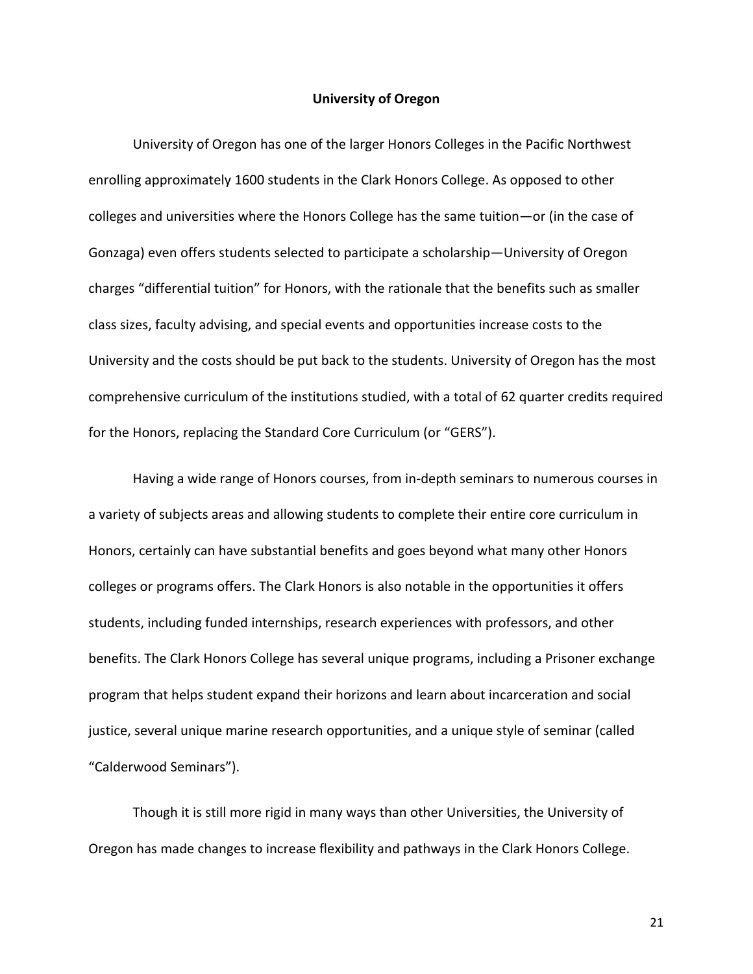# **University of Oregon**

University of Oregon has one of the larger Honors Colleges in the Pacific Northwest enrolling approximately 1600 students in the Clark Honors College. As opposed to other colleges and universities where the Honors College has the same tuition—or (in the case of Gonzaga) even offers students selected to participate a scholarship—University of Oregon charges "differential tuition" for Honors, with the rationale that the benefits such as smaller class sizes, faculty advising, and special events and opportunities increase costs to the University and the costs should be put back to the students. University of Oregon has the most comprehensive curriculum of the institutions studied, with a total of 62 quarter credits required for the Honors, replacing the Standard Core Curriculum (or "GERS").

Having a wide range of Honors courses, from in-depth seminars to numerous courses in a variety of subjects areas and allowing students to complete their entire core curriculum in Honors, certainly can have substantial benefits and goes beyond what many other Honors colleges or programs offers. The Clark Honors is also notable in the opportunities it offers students, including funded internships, research experiences with professors, and other benefits. The Clark Honors College has several unique programs, including a Prisoner exchange program that helps student expand their horizons and learn about incarceration and social justice, several unique marine research opportunities, and a unique style of seminar (called "Calderwood Seminars").

Though it is still more rigid in many ways than other Universities, the University of Oregon has made changes to increase flexibility and pathways in the Clark Honors College.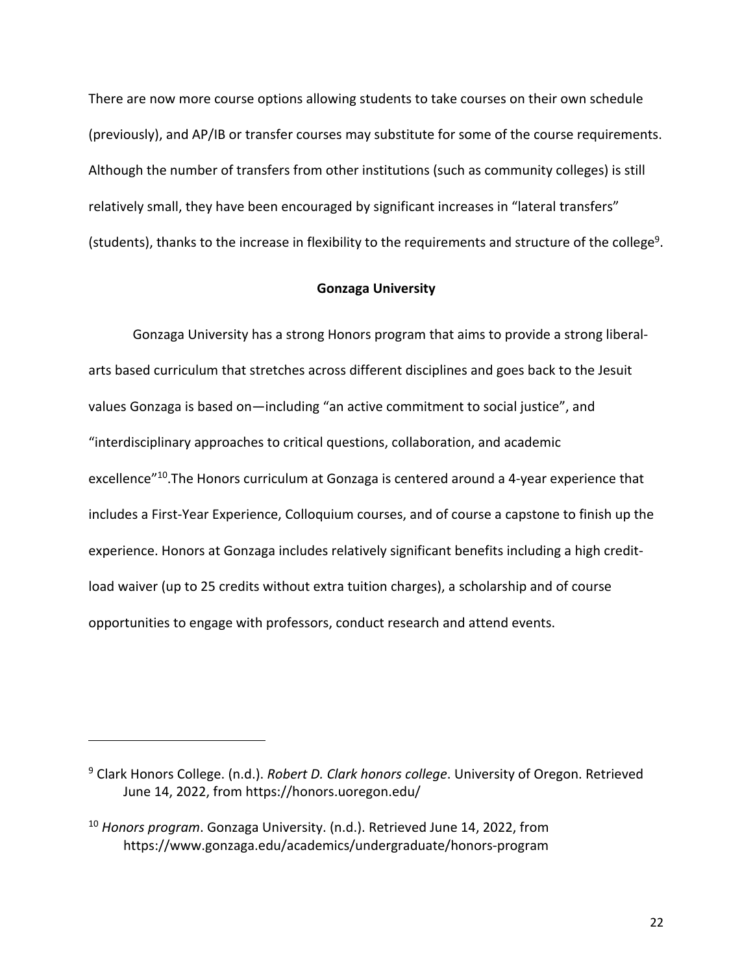There are now more course options allowing students to take courses on their own schedule (previously), and AP/IB or transfer courses may substitute for some of the course requirements. Although the number of transfers from other institutions (such as community colleges) is still relatively small, they have been encouraged by significant increases in "lateral transfers" (students), thanks to the increase in flexibility to the requirements and structure of the college<sup>9</sup>.

#### **Gonzaga University**

Gonzaga University has a strong Honors program that aims to provide a strong liberalarts based curriculum that stretches across different disciplines and goes back to the Jesuit values Gonzaga is based on—including "an active commitment to social justice", and "interdisciplinary approaches to critical questions, collaboration, and academic excellence"<sup>10</sup>. The Honors curriculum at Gonzaga is centered around a 4-year experience that includes a First-Year Experience, Colloquium courses, and of course a capstone to finish up the experience. Honors at Gonzaga includes relatively significant benefits including a high creditload waiver (up to 25 credits without extra tuition charges), a scholarship and of course opportunities to engage with professors, conduct research and attend events.

<sup>9</sup> Clark Honors College. (n.d.). *Robert D. Clark honors college*. University of Oregon. Retrieved June 14, 2022, from https://honors.uoregon.edu/

<sup>10</sup> *Honors program*. Gonzaga University. (n.d.). Retrieved June 14, 2022, from https://www.gonzaga.edu/academics/undergraduate/honors-program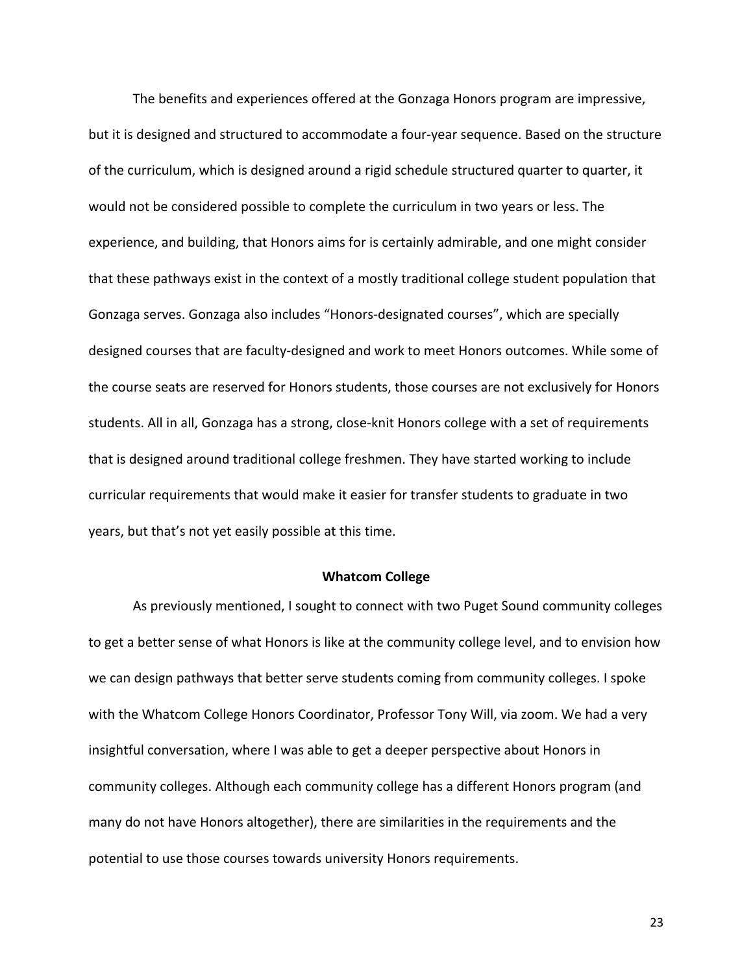The benefits and experiences offered at the Gonzaga Honors program are impressive, but it is designed and structured to accommodate a four-year sequence. Based on the structure of the curriculum, which is designed around a rigid schedule structured quarter to quarter, it would not be considered possible to complete the curriculum in two years or less. The experience, and building, that Honors aims for is certainly admirable, and one might consider that these pathways exist in the context of a mostly traditional college student population that Gonzaga serves. Gonzaga also includes "Honors-designated courses", which are specially designed courses that are faculty-designed and work to meet Honors outcomes. While some of the course seats are reserved for Honors students, those courses are not exclusively for Honors students. All in all, Gonzaga has a strong, close-knit Honors college with a set of requirements that is designed around traditional college freshmen. They have started working to include curricular requirements that would make it easier for transfer students to graduate in two years, but that's not yet easily possible at this time.

# **Whatcom College**

As previously mentioned, I sought to connect with two Puget Sound community colleges to get a better sense of what Honors is like at the community college level, and to envision how we can design pathways that better serve students coming from community colleges. I spoke with the Whatcom College Honors Coordinator, Professor Tony Will, via zoom. We had a very insightful conversation, where I was able to get a deeper perspective about Honors in community colleges. Although each community college has a different Honors program (and many do not have Honors altogether), there are similarities in the requirements and the potential to use those courses towards university Honors requirements.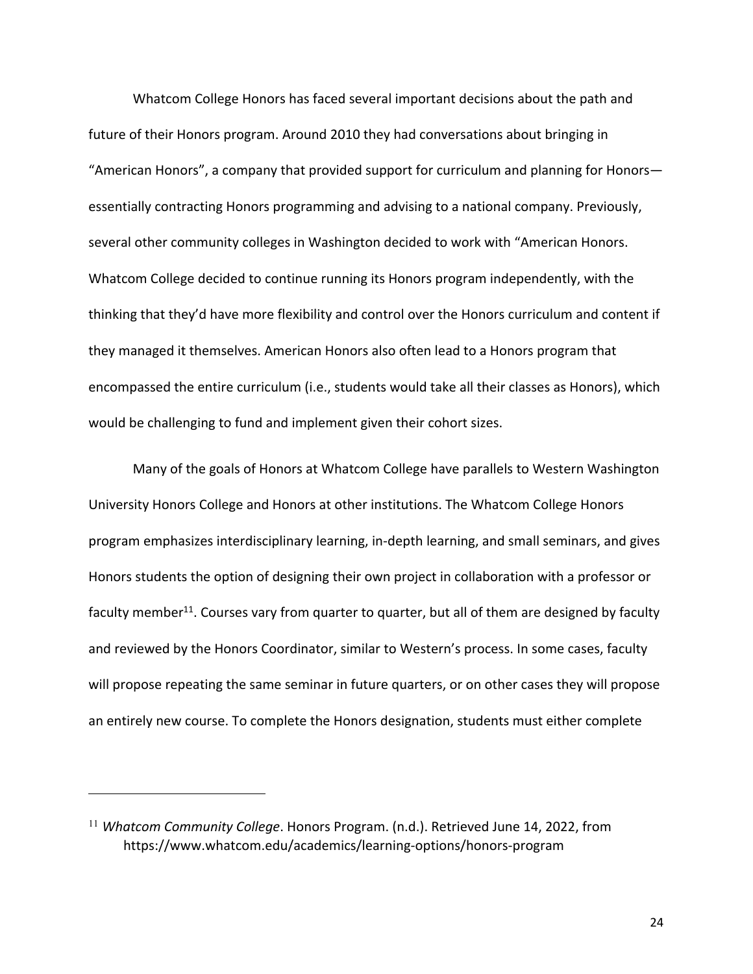Whatcom College Honors has faced several important decisions about the path and future of their Honors program. Around 2010 they had conversations about bringing in "American Honors", a company that provided support for curriculum and planning for Honors essentially contracting Honors programming and advising to a national company. Previously, several other community colleges in Washington decided to work with "American Honors. Whatcom College decided to continue running its Honors program independently, with the thinking that they'd have more flexibility and control over the Honors curriculum and content if they managed it themselves. American Honors also often lead to a Honors program that encompassed the entire curriculum (i.e., students would take all their classes as Honors), which would be challenging to fund and implement given their cohort sizes.

Many of the goals of Honors at Whatcom College have parallels to Western Washington University Honors College and Honors at other institutions. The Whatcom College Honors program emphasizes interdisciplinary learning, in-depth learning, and small seminars, and gives Honors students the option of designing their own project in collaboration with a professor or faculty member<sup>11</sup>. Courses vary from quarter to quarter, but all of them are designed by faculty and reviewed by the Honors Coordinator, similar to Western's process. In some cases, faculty will propose repeating the same seminar in future quarters, or on other cases they will propose an entirely new course. To complete the Honors designation, students must either complete

<sup>11</sup> *Whatcom Community College*. Honors Program. (n.d.). Retrieved June 14, 2022, from https://www.whatcom.edu/academics/learning-options/honors-program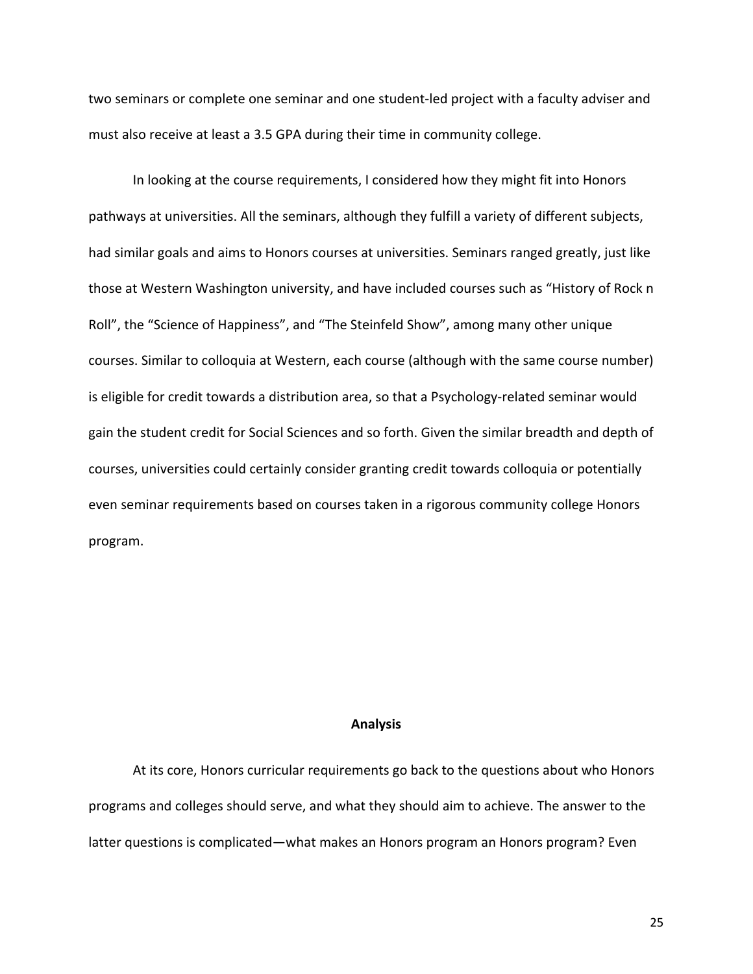two seminars or complete one seminar and one student-led project with a faculty adviser and must also receive at least a 3.5 GPA during their time in community college.

In looking at the course requirements, I considered how they might fit into Honors pathways at universities. All the seminars, although they fulfill a variety of different subjects, had similar goals and aims to Honors courses at universities. Seminars ranged greatly, just like those at Western Washington university, and have included courses such as "History of Rock n Roll", the "Science of Happiness", and "The Steinfeld Show", among many other unique courses. Similar to colloquia at Western, each course (although with the same course number) is eligible for credit towards a distribution area, so that a Psychology-related seminar would gain the student credit for Social Sciences and so forth. Given the similar breadth and depth of courses, universities could certainly consider granting credit towards colloquia or potentially even seminar requirements based on courses taken in a rigorous community college Honors program.

# **Analysis**

At its core, Honors curricular requirements go back to the questions about who Honors programs and colleges should serve, and what they should aim to achieve. The answer to the latter questions is complicated—what makes an Honors program an Honors program? Even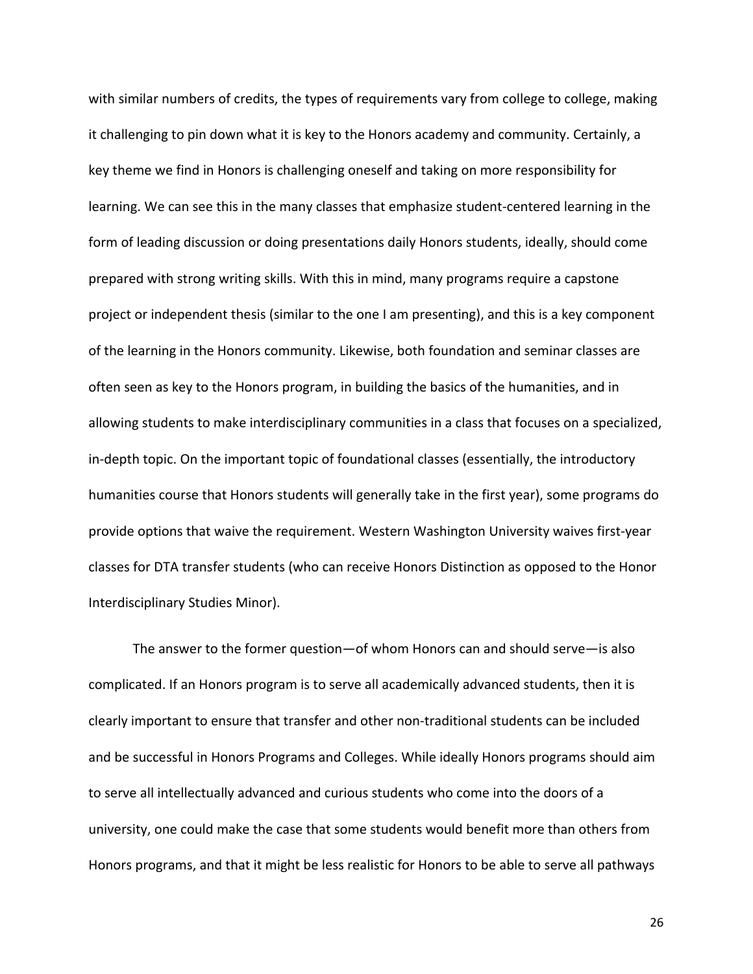with similar numbers of credits, the types of requirements vary from college to college, making it challenging to pin down what it is key to the Honors academy and community. Certainly, a key theme we find in Honors is challenging oneself and taking on more responsibility for learning. We can see this in the many classes that emphasize student-centered learning in the form of leading discussion or doing presentations daily Honors students, ideally, should come prepared with strong writing skills. With this in mind, many programs require a capstone project or independent thesis (similar to the one I am presenting), and this is a key component of the learning in the Honors community. Likewise, both foundation and seminar classes are often seen as key to the Honors program, in building the basics of the humanities, and in allowing students to make interdisciplinary communities in a class that focuses on a specialized, in-depth topic. On the important topic of foundational classes (essentially, the introductory humanities course that Honors students will generally take in the first year), some programs do provide options that waive the requirement. Western Washington University waives first-year classes for DTA transfer students (who can receive Honors Distinction as opposed to the Honor Interdisciplinary Studies Minor).

The answer to the former question—of whom Honors can and should serve—is also complicated. If an Honors program is to serve all academically advanced students, then it is clearly important to ensure that transfer and other non-traditional students can be included and be successful in Honors Programs and Colleges. While ideally Honors programs should aim to serve all intellectually advanced and curious students who come into the doors of a university, one could make the case that some students would benefit more than others from Honors programs, and that it might be less realistic for Honors to be able to serve all pathways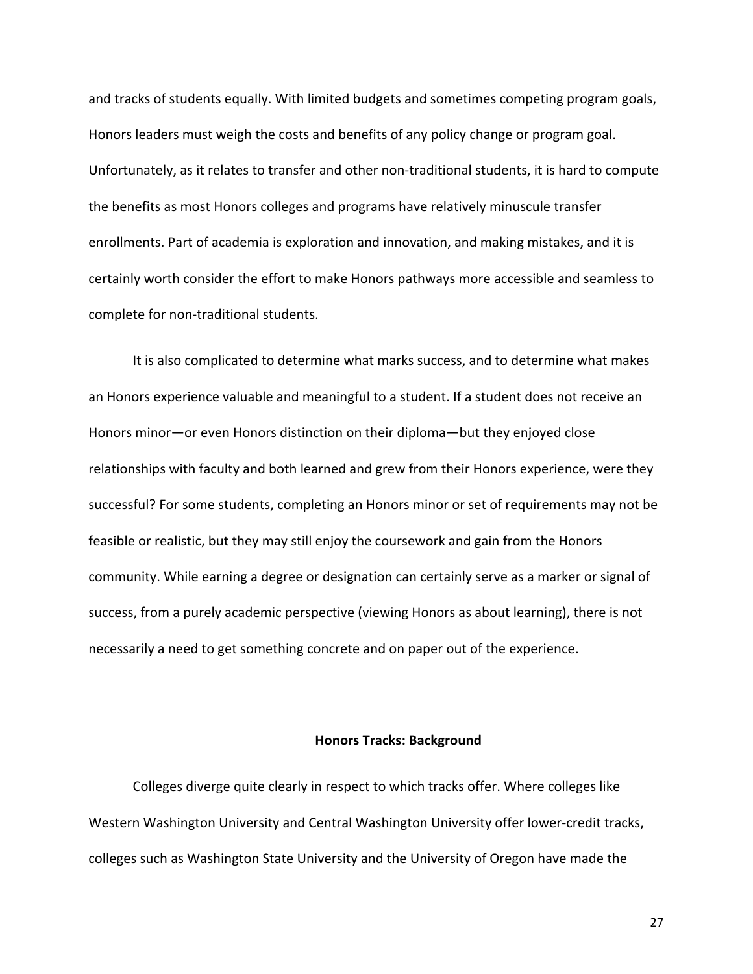and tracks of students equally. With limited budgets and sometimes competing program goals, Honors leaders must weigh the costs and benefits of any policy change or program goal. Unfortunately, as it relates to transfer and other non-traditional students, it is hard to compute the benefits as most Honors colleges and programs have relatively minuscule transfer enrollments. Part of academia is exploration and innovation, and making mistakes, and it is certainly worth consider the effort to make Honors pathways more accessible and seamless to complete for non-traditional students.

It is also complicated to determine what marks success, and to determine what makes an Honors experience valuable and meaningful to a student. If a student does not receive an Honors minor—or even Honors distinction on their diploma—but they enjoyed close relationships with faculty and both learned and grew from their Honors experience, were they successful? For some students, completing an Honors minor or set of requirements may not be feasible or realistic, but they may still enjoy the coursework and gain from the Honors community. While earning a degree or designation can certainly serve as a marker or signal of success, from a purely academic perspective (viewing Honors as about learning), there is not necessarily a need to get something concrete and on paper out of the experience.

# **Honors Tracks: Background**

Colleges diverge quite clearly in respect to which tracks offer. Where colleges like Western Washington University and Central Washington University offer lower-credit tracks, colleges such as Washington State University and the University of Oregon have made the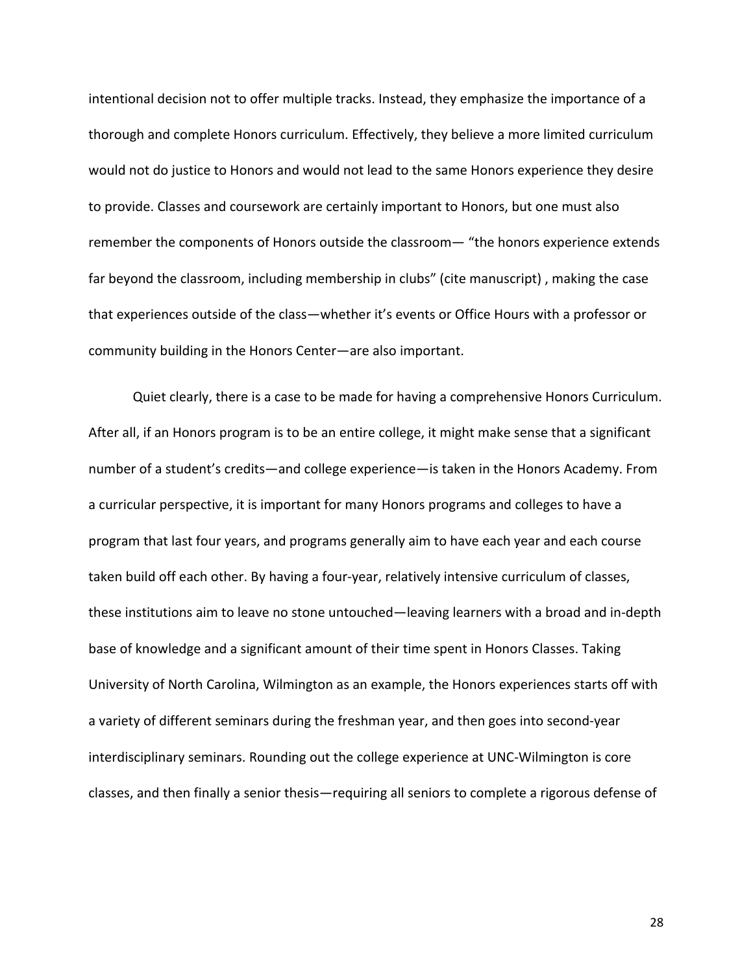intentional decision not to offer multiple tracks. Instead, they emphasize the importance of a thorough and complete Honors curriculum. Effectively, they believe a more limited curriculum would not do justice to Honors and would not lead to the same Honors experience they desire to provide. Classes and coursework are certainly important to Honors, but one must also remember the components of Honors outside the classroom— "the honors experience extends far beyond the classroom, including membership in clubs" (cite manuscript) , making the case that experiences outside of the class—whether it's events or Office Hours with a professor or community building in the Honors Center—are also important.

Quiet clearly, there is a case to be made for having a comprehensive Honors Curriculum. After all, if an Honors program is to be an entire college, it might make sense that a significant number of a student's credits—and college experience—is taken in the Honors Academy. From a curricular perspective, it is important for many Honors programs and colleges to have a program that last four years, and programs generally aim to have each year and each course taken build off each other. By having a four-year, relatively intensive curriculum of classes, these institutions aim to leave no stone untouched—leaving learners with a broad and in-depth base of knowledge and a significant amount of their time spent in Honors Classes. Taking University of North Carolina, Wilmington as an example, the Honors experiences starts off with a variety of different seminars during the freshman year, and then goes into second-year interdisciplinary seminars. Rounding out the college experience at UNC-Wilmington is core classes, and then finally a senior thesis—requiring all seniors to complete a rigorous defense of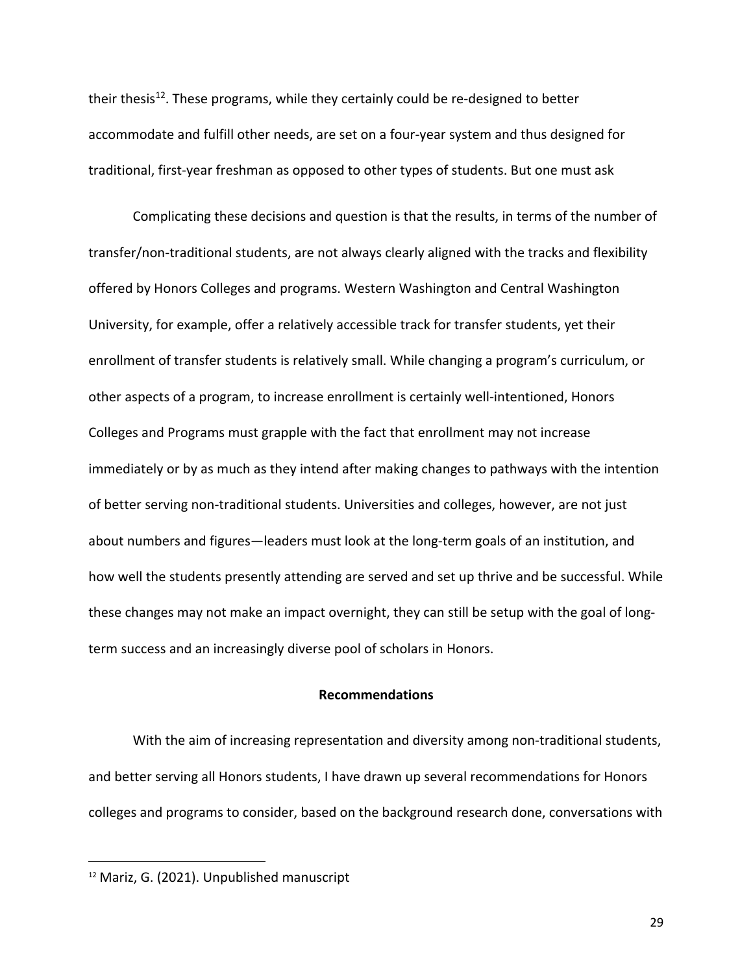their thesis<sup>12</sup>. These programs, while they certainly could be re-designed to better accommodate and fulfill other needs, are set on a four-year system and thus designed for traditional, first-year freshman as opposed to other types of students. But one must ask

Complicating these decisions and question is that the results, in terms of the number of transfer/non-traditional students, are not always clearly aligned with the tracks and flexibility offered by Honors Colleges and programs. Western Washington and Central Washington University, for example, offer a relatively accessible track for transfer students, yet their enrollment of transfer students is relatively small. While changing a program's curriculum, or other aspects of a program, to increase enrollment is certainly well-intentioned, Honors Colleges and Programs must grapple with the fact that enrollment may not increase immediately or by as much as they intend after making changes to pathways with the intention of better serving non-traditional students. Universities and colleges, however, are not just about numbers and figures—leaders must look at the long-term goals of an institution, and how well the students presently attending are served and set up thrive and be successful. While these changes may not make an impact overnight, they can still be setup with the goal of longterm success and an increasingly diverse pool of scholars in Honors.

# **Recommendations**

With the aim of increasing representation and diversity among non-traditional students, and better serving all Honors students, I have drawn up several recommendations for Honors colleges and programs to consider, based on the background research done, conversations with

<sup>12</sup> Mariz, G. (2021). Unpublished manuscript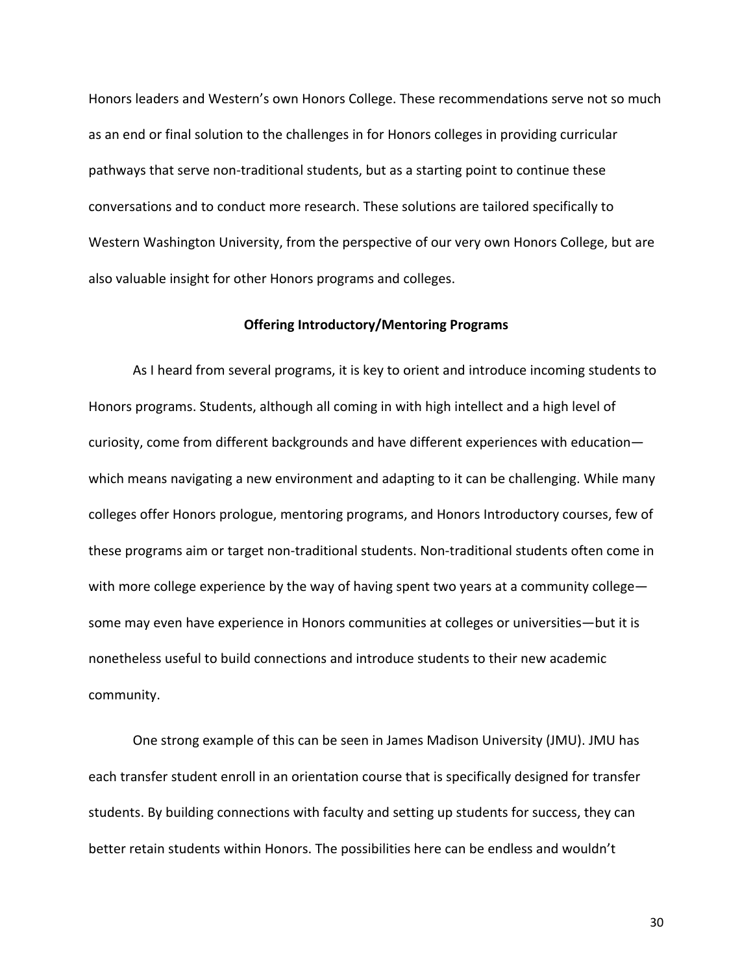Honors leaders and Western's own Honors College. These recommendations serve not so much as an end or final solution to the challenges in for Honors colleges in providing curricular pathways that serve non-traditional students, but as a starting point to continue these conversations and to conduct more research. These solutions are tailored specifically to Western Washington University, from the perspective of our very own Honors College, but are also valuable insight for other Honors programs and colleges.

# **Offering Introductory/Mentoring Programs**

As I heard from several programs, it is key to orient and introduce incoming students to Honors programs. Students, although all coming in with high intellect and a high level of curiosity, come from different backgrounds and have different experiences with education which means navigating a new environment and adapting to it can be challenging. While many colleges offer Honors prologue, mentoring programs, and Honors Introductory courses, few of these programs aim or target non-traditional students. Non-traditional students often come in with more college experience by the way of having spent two years at a community college some may even have experience in Honors communities at colleges or universities—but it is nonetheless useful to build connections and introduce students to their new academic community.

One strong example of this can be seen in James Madison University (JMU). JMU has each transfer student enroll in an orientation course that is specifically designed for transfer students. By building connections with faculty and setting up students for success, they can better retain students within Honors. The possibilities here can be endless and wouldn't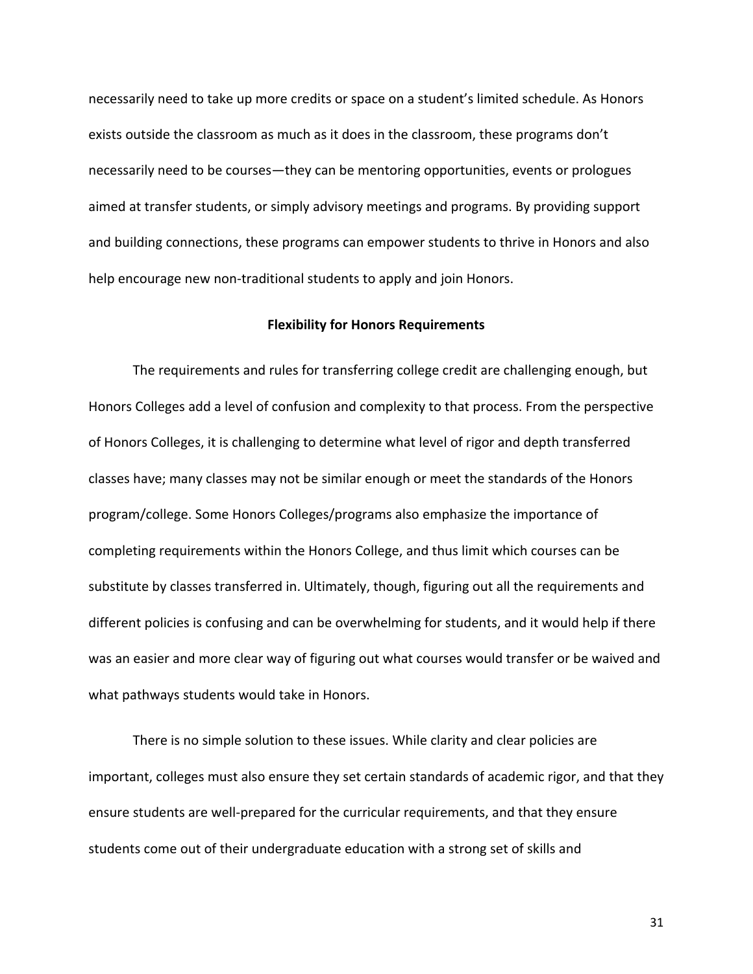necessarily need to take up more credits or space on a student's limited schedule. As Honors exists outside the classroom as much as it does in the classroom, these programs don't necessarily need to be courses—they can be mentoring opportunities, events or prologues aimed at transfer students, or simply advisory meetings and programs. By providing support and building connections, these programs can empower students to thrive in Honors and also help encourage new non-traditional students to apply and join Honors.

### **Flexibility for Honors Requirements**

The requirements and rules for transferring college credit are challenging enough, but Honors Colleges add a level of confusion and complexity to that process. From the perspective of Honors Colleges, it is challenging to determine what level of rigor and depth transferred classes have; many classes may not be similar enough or meet the standards of the Honors program/college. Some Honors Colleges/programs also emphasize the importance of completing requirements within the Honors College, and thus limit which courses can be substitute by classes transferred in. Ultimately, though, figuring out all the requirements and different policies is confusing and can be overwhelming for students, and it would help if there was an easier and more clear way of figuring out what courses would transfer or be waived and what pathways students would take in Honors.

There is no simple solution to these issues. While clarity and clear policies are important, colleges must also ensure they set certain standards of academic rigor, and that they ensure students are well-prepared for the curricular requirements, and that they ensure students come out of their undergraduate education with a strong set of skills and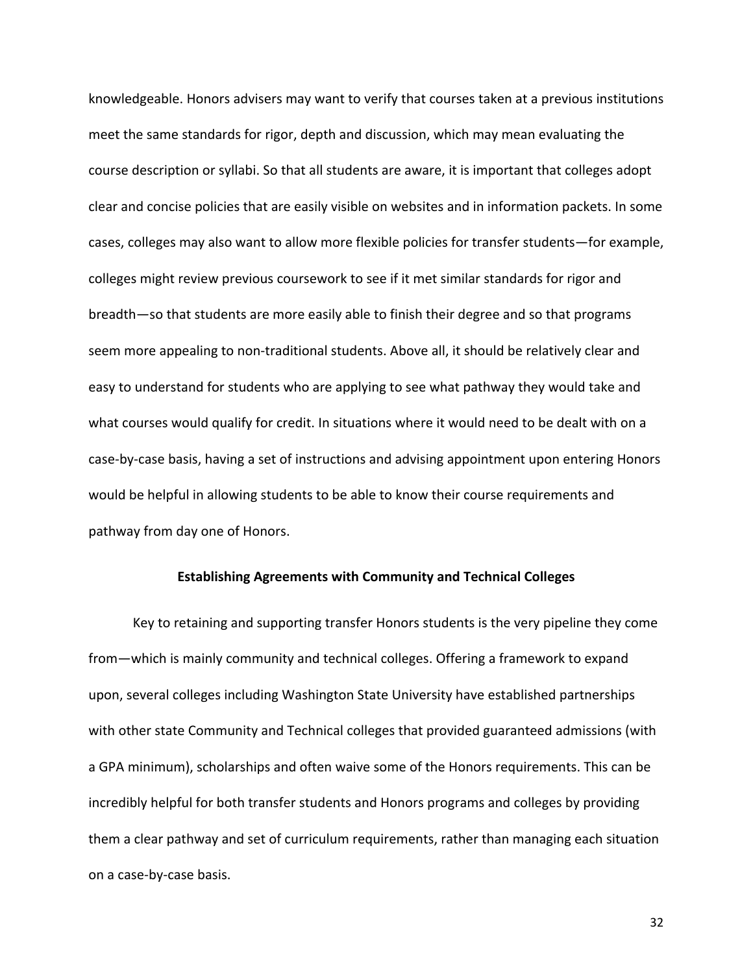knowledgeable. Honors advisers may want to verify that courses taken at a previous institutions meet the same standards for rigor, depth and discussion, which may mean evaluating the course description or syllabi. So that all students are aware, it is important that colleges adopt clear and concise policies that are easily visible on websites and in information packets. In some cases, colleges may also want to allow more flexible policies for transfer students—for example, colleges might review previous coursework to see if it met similar standards for rigor and breadth—so that students are more easily able to finish their degree and so that programs seem more appealing to non-traditional students. Above all, it should be relatively clear and easy to understand for students who are applying to see what pathway they would take and what courses would qualify for credit. In situations where it would need to be dealt with on a case-by-case basis, having a set of instructions and advising appointment upon entering Honors would be helpful in allowing students to be able to know their course requirements and pathway from day one of Honors.

#### **Establishing Agreements with Community and Technical Colleges**

Key to retaining and supporting transfer Honors students is the very pipeline they come from—which is mainly community and technical colleges. Offering a framework to expand upon, several colleges including Washington State University have established partnerships with other state Community and Technical colleges that provided guaranteed admissions (with a GPA minimum), scholarships and often waive some of the Honors requirements. This can be incredibly helpful for both transfer students and Honors programs and colleges by providing them a clear pathway and set of curriculum requirements, rather than managing each situation on a case-by-case basis.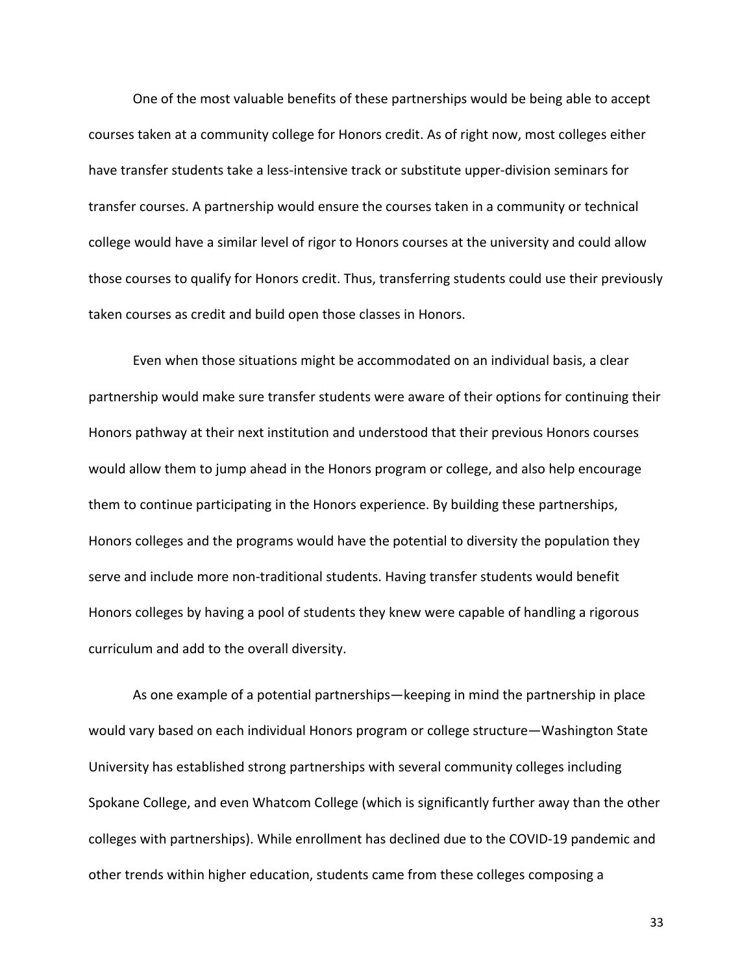One of the most valuable benefits of these partnerships would be being able to accept courses taken at a community college for Honors credit. As of right now, most colleges either have transfer students take a less-intensive track or substitute upper-division seminars for transfer courses. A partnership would ensure the courses taken in a community or technical college would have a similar level of rigor to Honors courses at the university and could allow those courses to qualify for Honors credit. Thus, transferring students could use their previously taken courses as credit and build open those classes in Honors.

Even when those situations might be accommodated on an individual basis, a clear partnership would make sure transfer students were aware of their options for continuing their Honors pathway at their next institution and understood that their previous Honors courses would allow them to jump ahead in the Honors program or college, and also help encourage them to continue participating in the Honors experience. By building these partnerships, Honors colleges and the programs would have the potential to diversity the population they serve and include more non-traditional students. Having transfer students would benefit Honors colleges by having a pool of students they knew were capable of handling a rigorous curriculum and add to the overall diversity.

As one example of a potential partnerships—keeping in mind the partnership in place would vary based on each individual Honors program or college structure—Washington State University has established strong partnerships with several community colleges including Spokane College, and even Whatcom College (which is significantly further away than the other colleges with partnerships). While enrollment has declined due to the COVID-19 pandemic and other trends within higher education, students came from these colleges composing a